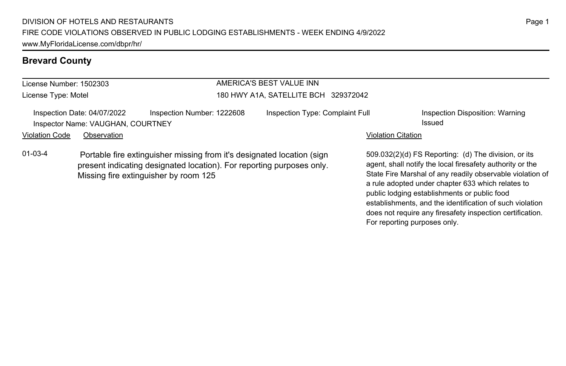# **Brevard County**

| License Number: 1502303 |                                                                  |                                                                                                                                                                                          | AMERICA'S BEST VALUE INN             |                           |                                                                                                                                                                                                                                     |  |  |
|-------------------------|------------------------------------------------------------------|------------------------------------------------------------------------------------------------------------------------------------------------------------------------------------------|--------------------------------------|---------------------------|-------------------------------------------------------------------------------------------------------------------------------------------------------------------------------------------------------------------------------------|--|--|
| License Type: Motel     |                                                                  |                                                                                                                                                                                          | 180 HWY A1A, SATELLITE BCH 329372042 |                           |                                                                                                                                                                                                                                     |  |  |
|                         | Inspection Date: 04/07/2022<br>Inspector Name: VAUGHAN, COURTNEY | Inspection Number: 1222608                                                                                                                                                               | Inspection Type: Complaint Full      |                           | Inspection Disposition: Warning<br>Issued                                                                                                                                                                                           |  |  |
| <b>Violation Code</b>   | Observation                                                      |                                                                                                                                                                                          |                                      | <b>Violation Citation</b> |                                                                                                                                                                                                                                     |  |  |
| $01-03-4$               |                                                                  | Portable fire extinguisher missing from it's designated location (sign<br>present indicating designated location). For reporting purposes only.<br>Missing fire extinguisher by room 125 |                                      |                           | 509.032(2)(d) FS Reporting: (d) The division, or its<br>agent, shall notify the local firesafety authority or the<br>State Fire Marshal of any readily observable violation of<br>a rule adopted under chapter 633 which relates to |  |  |

public lodging establishments or public food

For reporting purposes only.

establishments, and the identification of such violation does not require any firesafety inspection certification.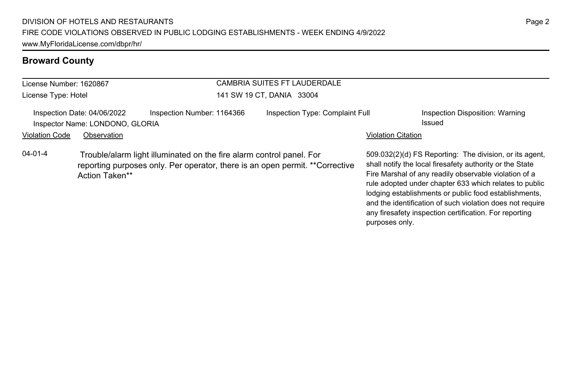| License Number: 1620867 |                                                                |                                                                                                                                                      | CAMBRIA SUITES FT LAUDERDALE |                                 |                           |                                                                                                                                                                                                                                                                                                                                                              |  |
|-------------------------|----------------------------------------------------------------|------------------------------------------------------------------------------------------------------------------------------------------------------|------------------------------|---------------------------------|---------------------------|--------------------------------------------------------------------------------------------------------------------------------------------------------------------------------------------------------------------------------------------------------------------------------------------------------------------------------------------------------------|--|
| License Type: Hotel     |                                                                |                                                                                                                                                      | 141 SW 19 CT, DANIA 33004    |                                 |                           |                                                                                                                                                                                                                                                                                                                                                              |  |
|                         | Inspection Date: 04/06/2022<br>Inspector Name: LONDONO, GLORIA | Inspection Number: 1164366                                                                                                                           |                              | Inspection Type: Complaint Full |                           | Inspection Disposition: Warning<br>Issued                                                                                                                                                                                                                                                                                                                    |  |
| <b>Violation Code</b>   | Observation                                                    |                                                                                                                                                      |                              |                                 | <b>Violation Citation</b> |                                                                                                                                                                                                                                                                                                                                                              |  |
| $04 - 01 - 4$           | Action Taken**                                                 | Trouble/alarm light illuminated on the fire alarm control panel. For<br>reporting purposes only. Per operator, there is an open permit. **Corrective |                              |                                 |                           | 509.032(2)(d) FS Reporting: The division, or its agent.<br>shall notify the local firesafety authority or the State<br>Fire Marshal of any readily observable violation of a<br>rule adopted under chapter 633 which relates to public<br>lodging establishments or public food establishments,<br>and the identification of such violation does not require |  |

Page 2

any firesafety inspection certification. For reporting

purposes only.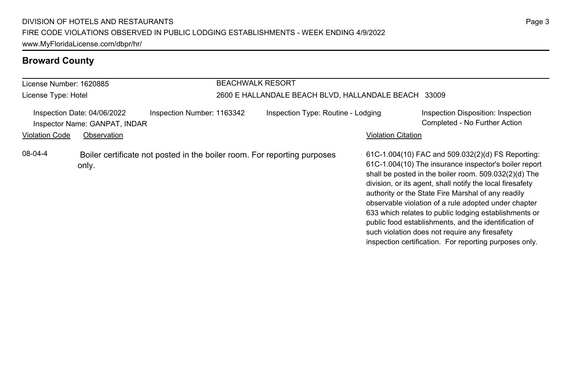| License Number: 1620885                                      |             |                                                                          | <b>BEACHWALK RESORT</b>                              |                                    |                           |                                                                                                                                                                                                                                                                                                                                                                                                                                                                                                                                                                              |  |
|--------------------------------------------------------------|-------------|--------------------------------------------------------------------------|------------------------------------------------------|------------------------------------|---------------------------|------------------------------------------------------------------------------------------------------------------------------------------------------------------------------------------------------------------------------------------------------------------------------------------------------------------------------------------------------------------------------------------------------------------------------------------------------------------------------------------------------------------------------------------------------------------------------|--|
| License Type: Hotel                                          |             |                                                                          | 2600 E HALLANDALE BEACH BLVD, HALLANDALE BEACH 33009 |                                    |                           |                                                                                                                                                                                                                                                                                                                                                                                                                                                                                                                                                                              |  |
| Inspection Date: 04/06/2022<br>Inspector Name: GANPAT, INDAR |             | Inspection Number: 1163342                                               |                                                      | Inspection Type: Routine - Lodging |                           | Inspection Disposition: Inspection<br>Completed - No Further Action                                                                                                                                                                                                                                                                                                                                                                                                                                                                                                          |  |
| <b>Violation Code</b>                                        | Observation |                                                                          |                                                      |                                    | <b>Violation Citation</b> |                                                                                                                                                                                                                                                                                                                                                                                                                                                                                                                                                                              |  |
| 08-04-4                                                      | only.       | Boiler certificate not posted in the boiler room. For reporting purposes |                                                      |                                    |                           | 61C-1.004(10) FAC and 509.032(2)(d) FS Reporting:<br>61C-1.004(10) The insurance inspector's boiler report<br>shall be posted in the boiler room. 509.032(2)(d) The<br>division, or its agent, shall notify the local firesafety<br>authority or the State Fire Marshal of any readily<br>observable violation of a rule adopted under chapter<br>633 which relates to public lodging establishments or<br>public food establishments, and the identification of<br>such violation does not require any firesafety<br>inspection certification. For reporting purposes only. |  |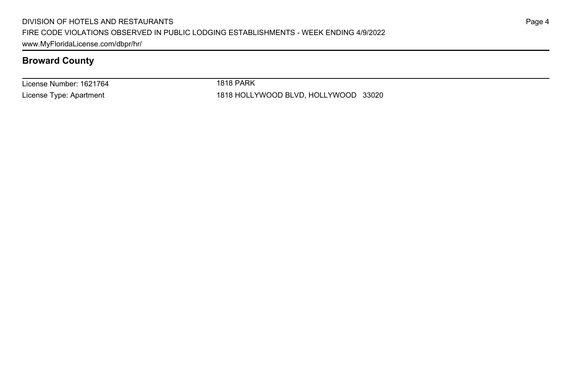License Number: 1621764 License Type: Apartment

1818 PARK

1818 HOLLYWOOD BLVD, HOLLYWOOD 33020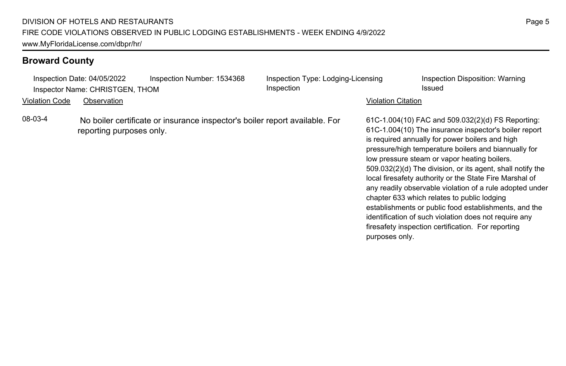| Inspection Date: 04/05/2022<br>Inspector Name: CHRISTGEN, THOM | Inspection Number: 1534368                                                  | Inspection Type: Lodging-Licensing<br>Inspection |                           | Inspection Disposition: Warning<br>Issued                                                                                                                                                                                                                                                                                                                                                                                                                                                                                                                                                                                                                                         |
|----------------------------------------------------------------|-----------------------------------------------------------------------------|--------------------------------------------------|---------------------------|-----------------------------------------------------------------------------------------------------------------------------------------------------------------------------------------------------------------------------------------------------------------------------------------------------------------------------------------------------------------------------------------------------------------------------------------------------------------------------------------------------------------------------------------------------------------------------------------------------------------------------------------------------------------------------------|
| Violation Code<br>Observation                                  |                                                                             |                                                  | <b>Violation Citation</b> |                                                                                                                                                                                                                                                                                                                                                                                                                                                                                                                                                                                                                                                                                   |
| 08-03-4<br>reporting purposes only.                            | No boiler certificate or insurance inspector's boiler report available. For |                                                  | purposes only.            | 61C-1.004(10) FAC and 509.032(2)(d) FS Reporting:<br>61C-1.004(10) The insurance inspector's boiler report<br>is required annually for power boilers and high<br>pressure/high temperature boilers and biannually for<br>low pressure steam or vapor heating boilers.<br>509.032(2)(d) The division, or its agent, shall notify the<br>local firesafety authority or the State Fire Marshal of<br>any readily observable violation of a rule adopted under<br>chapter 633 which relates to public lodging<br>establishments or public food establishments, and the<br>identification of such violation does not require any<br>firesafety inspection certification. For reporting |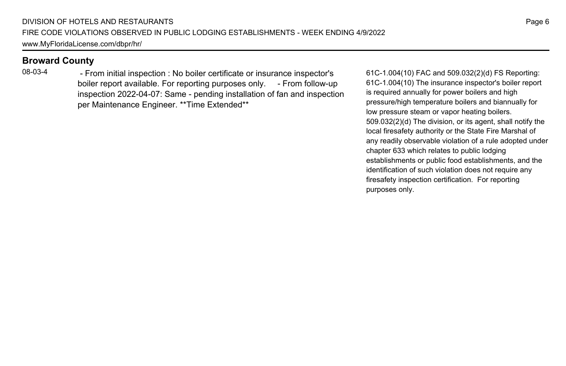08-03-4 - From initial inspection : No boiler certificate or insurance inspector's boiler report available. For reporting purposes only. - From follow-up inspection 2022-04-07: Same - pending installation of fan and inspection per Maintenance Engineer. \*\*Time Extended\*\*

61C-1.004(10) FAC and 509.032(2)(d) FS Reporting: 61C-1.004(10) The insurance inspector's boiler report is required annually for power boilers and high pressure/high temperature boilers and biannually for low pressure steam or vapor heating boilers. 509.032(2)(d) The division, or its agent, shall notify the local firesafety authority or the State Fire Marshal of any readily observable violation of a rule adopted under chapter 633 which relates to public lodging establishments or public food establishments, and the identification of such violation does not require any firesafety inspection certification. For reporting purposes only.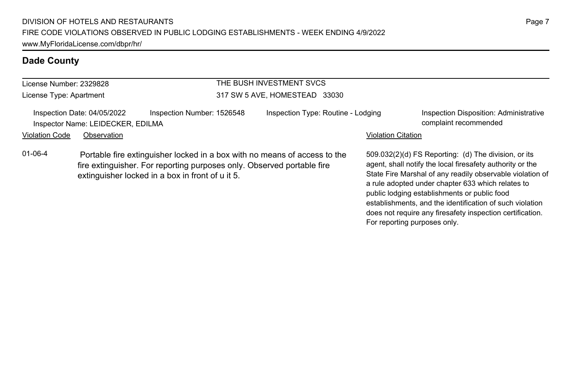| License Number: 2329828 |                                                                  |                                                                                                                                                                                                         | THE BUSH INVESTMENT SVCS           |                           |                                                                                                                                                                                                                                                                                     |  |  |
|-------------------------|------------------------------------------------------------------|---------------------------------------------------------------------------------------------------------------------------------------------------------------------------------------------------------|------------------------------------|---------------------------|-------------------------------------------------------------------------------------------------------------------------------------------------------------------------------------------------------------------------------------------------------------------------------------|--|--|
| License Type: Apartment |                                                                  |                                                                                                                                                                                                         | 317 SW 5 AVE, HOMESTEAD 33030      |                           |                                                                                                                                                                                                                                                                                     |  |  |
|                         | Inspection Date: 04/05/2022<br>Inspector Name: LEIDECKER, EDILMA | Inspection Number: 1526548                                                                                                                                                                              | Inspection Type: Routine - Lodging |                           | Inspection Disposition: Administrative<br>complaint recommended                                                                                                                                                                                                                     |  |  |
| <b>Violation Code</b>   | Observation                                                      |                                                                                                                                                                                                         |                                    | <b>Violation Citation</b> |                                                                                                                                                                                                                                                                                     |  |  |
| $01 - 06 - 4$           |                                                                  | Portable fire extinguisher locked in a box with no means of access to the<br>fire extinguisher. For reporting purposes only. Observed portable fire<br>extinguisher locked in a box in front of u it 5. |                                    |                           | 509.032(2)(d) FS Reporting: (d) The division, or its<br>agent, shall notify the local firesafety authority or the<br>State Fire Marshal of any readily observable violation of<br>a rule adopted under chapter 633 which relates to<br>public lodging establishments or public food |  |  |

establishments, and the identification of such violation does not require any firesafety inspection certification.

For reporting purposes only.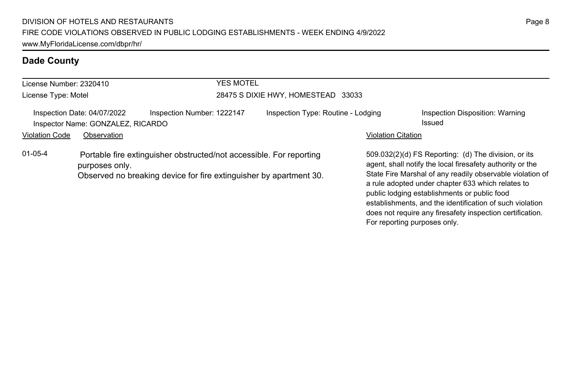| License Number: 2320410<br>License Type: Motel |                                                                  | YES MOTEL<br>28475 S DIXIE HWY, HOMESTEAD 33033                                                                                           |  |                                    |                           |                                                                                                                                                                                                                                                                                     |
|------------------------------------------------|------------------------------------------------------------------|-------------------------------------------------------------------------------------------------------------------------------------------|--|------------------------------------|---------------------------|-------------------------------------------------------------------------------------------------------------------------------------------------------------------------------------------------------------------------------------------------------------------------------------|
|                                                | Inspection Date: 04/07/2022<br>Inspector Name: GONZALEZ, RICARDO | Inspection Number: 1222147                                                                                                                |  | Inspection Type: Routine - Lodging |                           | Inspection Disposition: Warning<br>Issued                                                                                                                                                                                                                                           |
| <b>Violation Code</b>                          | Observation                                                      |                                                                                                                                           |  |                                    | <b>Violation Citation</b> |                                                                                                                                                                                                                                                                                     |
| $01 - 05 - 4$                                  | purposes only.                                                   | Portable fire extinguisher obstructed/not accessible. For reporting<br>Observed no breaking device for fire extinguisher by apartment 30. |  |                                    |                           | 509.032(2)(d) FS Reporting: (d) The division, or its<br>agent, shall notify the local firesafety authority or the<br>State Fire Marshal of any readily observable violation of<br>a rule adopted under chapter 633 which relates to<br>public lodging establishments or public food |

establishments, and the identification of such violation does not require any firesafety inspection certification.

For reporting purposes only.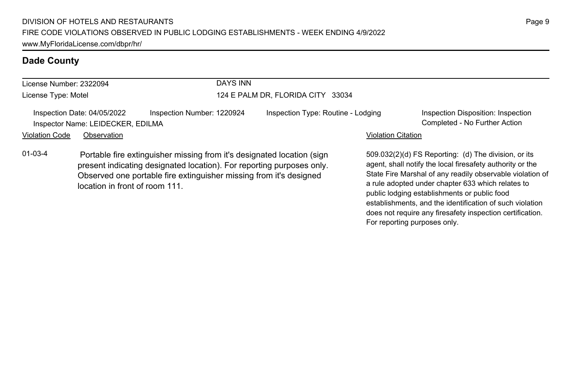| License Number: 2322094 |                                                                  | DAYS INN                                                                                                                                       |                                    |                           |                                                                                                                   |
|-------------------------|------------------------------------------------------------------|------------------------------------------------------------------------------------------------------------------------------------------------|------------------------------------|---------------------------|-------------------------------------------------------------------------------------------------------------------|
| License Type: Motel     |                                                                  |                                                                                                                                                | 124 E PALM DR, FLORIDA CITY 33034  |                           |                                                                                                                   |
|                         | Inspection Date: 04/05/2022<br>Inspector Name: LEIDECKER, EDILMA | Inspection Number: 1220924                                                                                                                     | Inspection Type: Routine - Lodging |                           | Inspection Disposition: Inspection<br>Completed - No Further Action                                               |
| <b>Violation Code</b>   | Observation                                                      |                                                                                                                                                |                                    | <b>Violation Citation</b> |                                                                                                                   |
| $01 - 03 - 4$           |                                                                  | Portable fire extinguisher missing from it's designated location (sign<br>present indicating designated location). For reporting purposes only |                                    |                           | 509.032(2)(d) FS Reporting: (d) The division, or its<br>agent, shall notify the local firesafety authority or the |

present indicating designated location). For reporting purposes only. Observed one portable fire extinguisher missing from it's designed location in front of room 111.

agent, shall notify the local firesafety authority or the State Fire Marshal of any readily observable violation of a rule adopted under chapter 633 which relates to public lodging establishments or public food establishments, and the identification of such violation does not require any firesafety inspection certification. For reporting purposes only.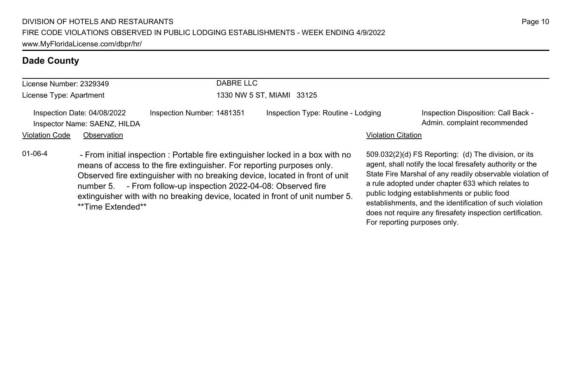| License Number: 2329349 |                                                             | DABRE LLC                                                                                                                                                                                                                                                                                                                                                                                    |                                    |                           |                                                                                                                                                                                                                                                                                                                                                                                                              |
|-------------------------|-------------------------------------------------------------|----------------------------------------------------------------------------------------------------------------------------------------------------------------------------------------------------------------------------------------------------------------------------------------------------------------------------------------------------------------------------------------------|------------------------------------|---------------------------|--------------------------------------------------------------------------------------------------------------------------------------------------------------------------------------------------------------------------------------------------------------------------------------------------------------------------------------------------------------------------------------------------------------|
| License Type: Apartment |                                                             |                                                                                                                                                                                                                                                                                                                                                                                              | 1330 NW 5 ST. MIAMI 33125          |                           |                                                                                                                                                                                                                                                                                                                                                                                                              |
|                         | Inspection Date: 04/08/2022<br>Inspector Name: SAENZ, HILDA | Inspection Number: 1481351                                                                                                                                                                                                                                                                                                                                                                   | Inspection Type: Routine - Lodging |                           | Inspection Disposition: Call Back -<br>Admin. complaint recommended                                                                                                                                                                                                                                                                                                                                          |
| <b>Violation Code</b>   | Observation                                                 |                                                                                                                                                                                                                                                                                                                                                                                              |                                    | <b>Violation Citation</b> |                                                                                                                                                                                                                                                                                                                                                                                                              |
| $01 - 06 - 4$           | **Time Extended**                                           | - From initial inspection : Portable fire extinguisher locked in a box with no<br>means of access to the fire extinguisher. For reporting purposes only.<br>Observed fire extinguisher with no breaking device, located in front of unit<br>number 5. - From follow-up inspection 2022-04-08: Observed fire<br>extinguisher with with no breaking device, located in front of unit number 5. |                                    |                           | 509.032(2)(d) FS Reporting: (d) The division, or its<br>agent, shall notify the local firesafety authority or the<br>State Fire Marshal of any readily observable violation of<br>a rule adopted under chapter 633 which relates to<br>public lodging establishments or public food<br>establishments, and the identification of such violation<br>does not require any firesafety inspection certification. |

For reporting purposes only.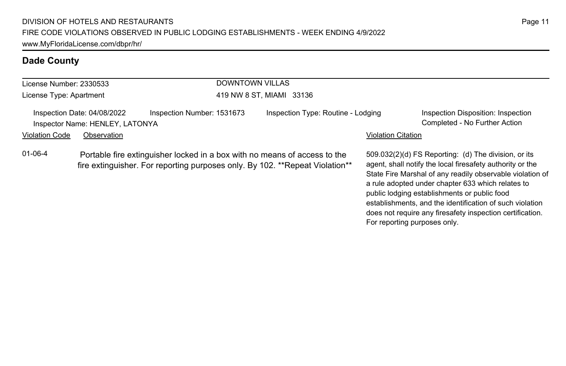| License Number: 2330533 |                                                                | <b>DOWNTOWN VILLAS</b>                                                                                                                                     |                                    |                           |                                                                                                                                                                                                                                                                                                                                                                                                              |  |  |
|-------------------------|----------------------------------------------------------------|------------------------------------------------------------------------------------------------------------------------------------------------------------|------------------------------------|---------------------------|--------------------------------------------------------------------------------------------------------------------------------------------------------------------------------------------------------------------------------------------------------------------------------------------------------------------------------------------------------------------------------------------------------------|--|--|
| License Type: Apartment |                                                                |                                                                                                                                                            | 419 NW 8 ST, MIAMI 33136           |                           |                                                                                                                                                                                                                                                                                                                                                                                                              |  |  |
|                         | Inspection Date: 04/08/2022<br>Inspector Name: HENLEY, LATONYA | Inspection Number: 1531673                                                                                                                                 | Inspection Type: Routine - Lodging |                           | Inspection Disposition: Inspection<br>Completed - No Further Action                                                                                                                                                                                                                                                                                                                                          |  |  |
| <b>Violation Code</b>   | Observation                                                    |                                                                                                                                                            |                                    | <b>Violation Citation</b> |                                                                                                                                                                                                                                                                                                                                                                                                              |  |  |
| 01-06-4                 |                                                                | Portable fire extinguisher locked in a box with no means of access to the<br>fire extinguisher. For reporting purposes only. By 102. ** Repeat Violation** |                                    |                           | 509.032(2)(d) FS Reporting: (d) The division, or its<br>agent, shall notify the local firesafety authority or the<br>State Fire Marshal of any readily observable violation of<br>a rule adopted under chapter 633 which relates to<br>public lodging establishments or public food<br>establishments, and the identification of such violation<br>does not require any firesafety inspection certification. |  |  |

For reporting purposes only.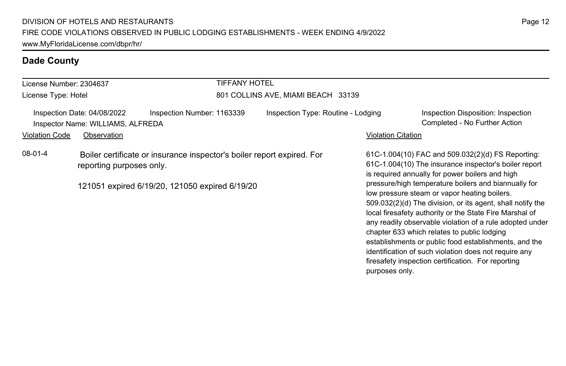| License Number: 2304637                                          |                          | <b>TIFFANY HOTEL</b>                                                                                                     |                                    |                    |                                                                                                                                                                                                                                                                                                                                                                                                                                                                                                                                                                                                                                                                                   |
|------------------------------------------------------------------|--------------------------|--------------------------------------------------------------------------------------------------------------------------|------------------------------------|--------------------|-----------------------------------------------------------------------------------------------------------------------------------------------------------------------------------------------------------------------------------------------------------------------------------------------------------------------------------------------------------------------------------------------------------------------------------------------------------------------------------------------------------------------------------------------------------------------------------------------------------------------------------------------------------------------------------|
| License Type: Hotel                                              |                          |                                                                                                                          | 801 COLLINS AVE, MIAMI BEACH 33139 |                    |                                                                                                                                                                                                                                                                                                                                                                                                                                                                                                                                                                                                                                                                                   |
| Inspection Date: 04/08/2022<br>Inspector Name: WILLIAMS, ALFREDA |                          | Inspection Number: 1163339                                                                                               | Inspection Type: Routine - Lodging |                    | Inspection Disposition: Inspection<br>Completed - No Further Action                                                                                                                                                                                                                                                                                                                                                                                                                                                                                                                                                                                                               |
| Violation Code                                                   | Observation              |                                                                                                                          |                                    | Violation Citation |                                                                                                                                                                                                                                                                                                                                                                                                                                                                                                                                                                                                                                                                                   |
| 08-01-4                                                          | reporting purposes only. | Boiler certificate or insurance inspector's boiler report expired. For<br>121051 expired 6/19/20, 121050 expired 6/19/20 |                                    | purposes only.     | 61C-1.004(10) FAC and 509.032(2)(d) FS Reporting:<br>61C-1.004(10) The insurance inspector's boiler report<br>is required annually for power boilers and high<br>pressure/high temperature boilers and biannually for<br>low pressure steam or vapor heating boilers.<br>509.032(2)(d) The division, or its agent, shall notify the<br>local firesafety authority or the State Fire Marshal of<br>any readily observable violation of a rule adopted under<br>chapter 633 which relates to public lodging<br>establishments or public food establishments, and the<br>identification of such violation does not require any<br>firesafety inspection certification. For reporting |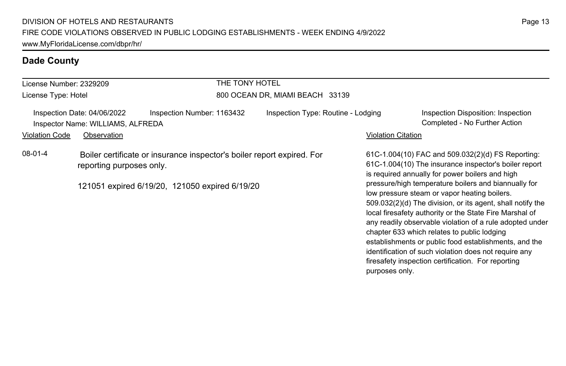| License Number: 2329209 |                                                                                                                                                      |                            | THE TONY HOTEL |                                    |                    |                                                                                                                                                                                                                                                                                                                                                                                                                                                                                                                                                                                                                                                                                   |
|-------------------------|------------------------------------------------------------------------------------------------------------------------------------------------------|----------------------------|----------------|------------------------------------|--------------------|-----------------------------------------------------------------------------------------------------------------------------------------------------------------------------------------------------------------------------------------------------------------------------------------------------------------------------------------------------------------------------------------------------------------------------------------------------------------------------------------------------------------------------------------------------------------------------------------------------------------------------------------------------------------------------------|
| License Type: Hotel     |                                                                                                                                                      |                            |                | 800 OCEAN DR, MIAMI BEACH 33139    |                    |                                                                                                                                                                                                                                                                                                                                                                                                                                                                                                                                                                                                                                                                                   |
|                         | Inspection Date: 04/06/2022<br>Inspector Name: WILLIAMS, ALFREDA                                                                                     | Inspection Number: 1163432 |                | Inspection Type: Routine - Lodging |                    | Inspection Disposition: Inspection<br>Completed - No Further Action                                                                                                                                                                                                                                                                                                                                                                                                                                                                                                                                                                                                               |
| <b>Violation Code</b>   | Observation                                                                                                                                          |                            |                |                                    | Violation Citation |                                                                                                                                                                                                                                                                                                                                                                                                                                                                                                                                                                                                                                                                                   |
| 08-01-4                 | Boiler certificate or insurance inspector's boiler report expired. For<br>reporting purposes only.<br>121051 expired 6/19/20, 121050 expired 6/19/20 |                            |                |                                    |                    | 61C-1.004(10) FAC and 509.032(2)(d) FS Reporting:<br>61C-1.004(10) The insurance inspector's boiler report<br>is required annually for power boilers and high<br>pressure/high temperature boilers and biannually for<br>low pressure steam or vapor heating boilers.<br>509.032(2)(d) The division, or its agent, shall notify the<br>local firesafety authority or the State Fire Marshal of<br>any readily observable violation of a rule adopted under<br>chapter 633 which relates to public lodging<br>establishments or public food establishments, and the<br>identification of such violation does not require any<br>firesafety inspection certification. For reporting |

purposes only.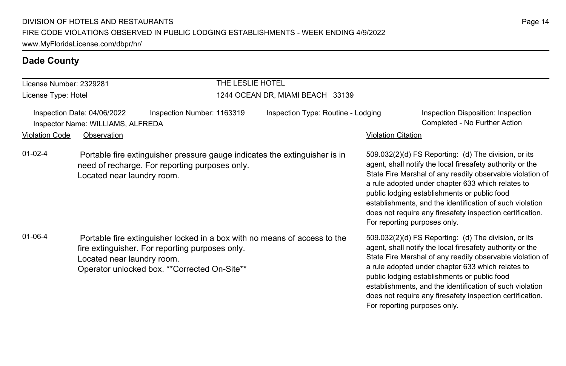| License Number: 2329281                                                                                                                                                                                                      |                            |                                                                                                                              | THE LESLIE HOTEL                   |                           |                                                                                                                                                                                                                                                                                                                                                                                                                                                |  |  |
|------------------------------------------------------------------------------------------------------------------------------------------------------------------------------------------------------------------------------|----------------------------|------------------------------------------------------------------------------------------------------------------------------|------------------------------------|---------------------------|------------------------------------------------------------------------------------------------------------------------------------------------------------------------------------------------------------------------------------------------------------------------------------------------------------------------------------------------------------------------------------------------------------------------------------------------|--|--|
| License Type: Hotel                                                                                                                                                                                                          |                            |                                                                                                                              | 1244 OCEAN DR, MIAMI BEACH 33139   |                           |                                                                                                                                                                                                                                                                                                                                                                                                                                                |  |  |
| Inspection Date: 04/06/2022<br>Inspector Name: WILLIAMS, ALFREDA                                                                                                                                                             |                            | Inspection Number: 1163319                                                                                                   | Inspection Type: Routine - Lodging |                           | Inspection Disposition: Inspection<br>Completed - No Further Action                                                                                                                                                                                                                                                                                                                                                                            |  |  |
| Violation Code                                                                                                                                                                                                               | Observation                |                                                                                                                              |                                    | <b>Violation Citation</b> |                                                                                                                                                                                                                                                                                                                                                                                                                                                |  |  |
| $01 - 02 - 4$                                                                                                                                                                                                                | Located near laundry room. | Portable fire extinguisher pressure gauge indicates the extinguisher is in<br>need of recharge. For reporting purposes only. |                                    |                           | $509.032(2)(d)$ FS Reporting: (d) The division, or its<br>agent, shall notify the local firesafety authority or the<br>State Fire Marshal of any readily observable violation of<br>a rule adopted under chapter 633 which relates to<br>public lodging establishments or public food<br>establishments, and the identification of such violation<br>does not require any firesafety inspection certification.<br>For reporting purposes only. |  |  |
| $01 - 06 - 4$<br>Portable fire extinguisher locked in a box with no means of access to the<br>fire extinguisher. For reporting purposes only.<br>Located near laundry room.<br>Operator unlocked box. ** Corrected On-Site** |                            |                                                                                                                              |                                    |                           | 509.032(2)(d) FS Reporting: (d) The division, or its<br>agent, shall notify the local firesafety authority or the<br>State Fire Marshal of any readily observable violation of<br>a rule adopted under chapter 633 which relates to<br>public lodging establishments or public food<br>establishments, and the identification of such violation<br>does not require any firesafety inspection certification.<br>For reporting purposes only.   |  |  |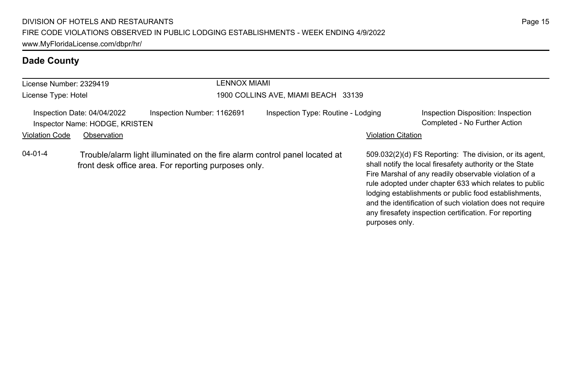| License Number: 2329419 |                                                               |                                                      |  | LENNOX MIAMI                                                               |                           |                                                                                                                                                                                                                                                                                                 |  |
|-------------------------|---------------------------------------------------------------|------------------------------------------------------|--|----------------------------------------------------------------------------|---------------------------|-------------------------------------------------------------------------------------------------------------------------------------------------------------------------------------------------------------------------------------------------------------------------------------------------|--|
| License Type: Hotel     |                                                               | 1900 COLLINS AVE, MIAMI BEACH 33139                  |  |                                                                            |                           |                                                                                                                                                                                                                                                                                                 |  |
|                         | Inspection Date: 04/04/2022<br>Inspector Name: HODGE, KRISTEN | Inspection Number: 1162691                           |  | Inspection Type: Routine - Lodging                                         |                           | Inspection Disposition: Inspection<br>Completed - No Further Action                                                                                                                                                                                                                             |  |
| <b>Violation Code</b>   | Observation                                                   |                                                      |  |                                                                            | <b>Violation Citation</b> |                                                                                                                                                                                                                                                                                                 |  |
| $04 - 01 - 4$           |                                                               | front desk office area. For reporting purposes only. |  | Trouble/alarm light illuminated on the fire alarm control panel located at |                           | 509.032(2)(d) FS Reporting: The division, or its agent.<br>shall notify the local firesafety authority or the State<br>Fire Marshal of any readily observable violation of a<br>rule adopted under chapter 633 which relates to public<br>lodging establishments or public food establishments, |  |

and the identification of such violation does not require any firesafety inspection certification. For reporting

purposes only.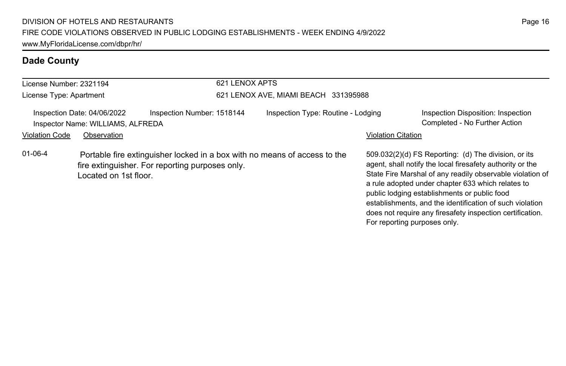| License Number: 2321194 |                                                                                 |                                                                                                                              | 621 LENOX APTS                       |                              |                                                                                                                                                                                                                                                                                                                                                                                                              |  |  |
|-------------------------|---------------------------------------------------------------------------------|------------------------------------------------------------------------------------------------------------------------------|--------------------------------------|------------------------------|--------------------------------------------------------------------------------------------------------------------------------------------------------------------------------------------------------------------------------------------------------------------------------------------------------------------------------------------------------------------------------------------------------------|--|--|
| License Type: Apartment |                                                                                 |                                                                                                                              | 621 LENOX AVE, MIAMI BEACH 331395988 |                              |                                                                                                                                                                                                                                                                                                                                                                                                              |  |  |
| <b>Violation Code</b>   | Inspection Date: 04/06/2022<br>Inspector Name: WILLIAMS, ALFREDA<br>Observation | Inspection Number: 1518144                                                                                                   | Inspection Type: Routine - Lodging   | <b>Violation Citation</b>    | Inspection Disposition: Inspection<br>Completed - No Further Action                                                                                                                                                                                                                                                                                                                                          |  |  |
| $01 - 06 - 4$           | Located on 1st floor.                                                           | Portable fire extinguisher locked in a box with no means of access to the<br>fire extinguisher. For reporting purposes only. |                                      | For reporting purposes only. | 509.032(2)(d) FS Reporting: (d) The division, or its<br>agent, shall notify the local firesafety authority or the<br>State Fire Marshal of any readily observable violation of<br>a rule adopted under chapter 633 which relates to<br>public lodging establishments or public food<br>establishments, and the identification of such violation<br>does not require any firesafety inspection certification. |  |  |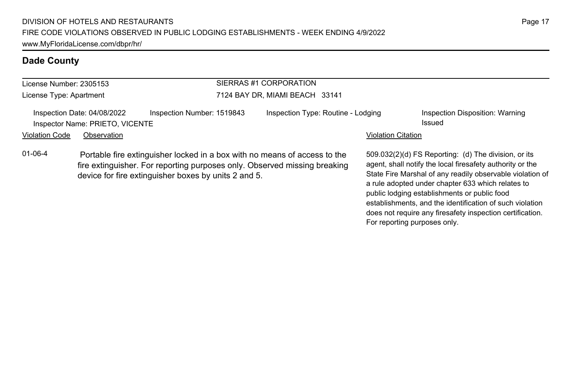| SIERRAS #1 CORPORATION<br>License Number: 2305153 |                                                                |                                                                                                                                                                                                                |                                    |                           |                                                                                                                                                                             |  |  |
|---------------------------------------------------|----------------------------------------------------------------|----------------------------------------------------------------------------------------------------------------------------------------------------------------------------------------------------------------|------------------------------------|---------------------------|-----------------------------------------------------------------------------------------------------------------------------------------------------------------------------|--|--|
| License Type: Apartment                           |                                                                |                                                                                                                                                                                                                | 7124 BAY DR, MIAMI BEACH 33141     |                           |                                                                                                                                                                             |  |  |
|                                                   | Inspection Date: 04/08/2022<br>Inspector Name: PRIETO, VICENTE | Inspection Number: 1519843                                                                                                                                                                                     | Inspection Type: Routine - Lodging |                           | Inspection Disposition: Warning<br>Issued                                                                                                                                   |  |  |
| <b>Violation Code</b>                             | Observation                                                    |                                                                                                                                                                                                                |                                    | <b>Violation Citation</b> |                                                                                                                                                                             |  |  |
| $01 - 06 - 4$                                     |                                                                | Portable fire extinguisher locked in a box with no means of access to the<br>fire extinguisher. For reporting purposes only. Observed missing breaking<br>device for fire extinguisher boxes by units 2 and 5. |                                    |                           | 509.032(2)(d) FS Reporting: (d) The division, or its<br>agent, shall notify the local firesafety authority or the<br>State Fire Marshal of any readily observable violation |  |  |

State Fire Marshal of any readily observable violation of a rule adopted under chapter 633 which relates to public lodging establishments or public food establishments, and the identification of such violation does not require any firesafety inspection certification. For reporting purposes only.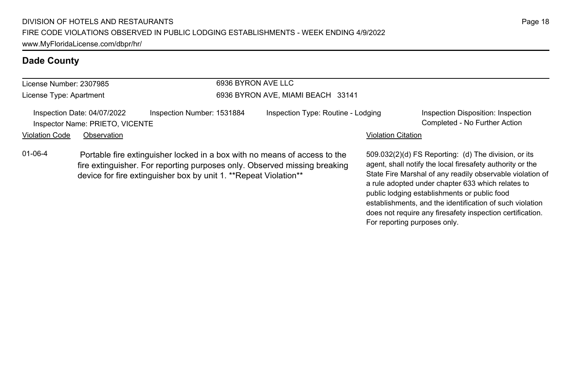| License Number: 2307985 |                                                                |                                                                   |  | 6936 BYRON AVE LLC                                                                                                                                     |                           |                                                                                                                                                                                                                                     |  |  |
|-------------------------|----------------------------------------------------------------|-------------------------------------------------------------------|--|--------------------------------------------------------------------------------------------------------------------------------------------------------|---------------------------|-------------------------------------------------------------------------------------------------------------------------------------------------------------------------------------------------------------------------------------|--|--|
| License Type: Apartment |                                                                | 6936 BYRON AVE, MIAMI BEACH 33141                                 |  |                                                                                                                                                        |                           |                                                                                                                                                                                                                                     |  |  |
|                         | Inspection Date: 04/07/2022<br>Inspector Name: PRIETO, VICENTE | Inspection Number: 1531884                                        |  | Inspection Type: Routine - Lodging                                                                                                                     |                           | Inspection Disposition: Inspection<br>Completed - No Further Action                                                                                                                                                                 |  |  |
| <b>Violation Code</b>   | Observation                                                    |                                                                   |  |                                                                                                                                                        | <b>Violation Citation</b> |                                                                                                                                                                                                                                     |  |  |
| $01 - 06 - 4$           |                                                                | device for fire extinguisher box by unit 1. ** Repeat Violation** |  | Portable fire extinguisher locked in a box with no means of access to the<br>fire extinguisher. For reporting purposes only. Observed missing breaking |                           | 509.032(2)(d) FS Reporting: (d) The division, or its<br>agent, shall notify the local firesafety authority or the<br>State Fire Marshal of any readily observable violation of<br>a rule adopted under chapter 633 which relates to |  |  |

public lodging establishments or public food

For reporting purposes only.

establishments, and the identification of such violation does not require any firesafety inspection certification.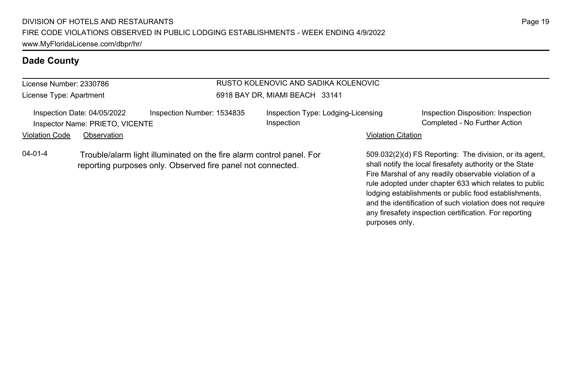#### License Number: 2330786

License Type: Apartment

#### RUSTO KOLENOVIC AND SADIKA KOLENOVIC 6918 BAY DR, MIAMI BEACH 33141

Inspection Date: 04/05/2022 Inspection Number: 1534835 Inspection Type: Lodging-Licensing Inspector Name: PRIETO, VICENTE Completed - No Further Action Completed - No Further Action

Inspection

Inspection Disposition: Inspection

#### Violation Code Observation **Violation Code Observation** Violation Citation Citation Citation Citation Citation Citation Citation Citation Citation Citation Citation Citation Citation Citation Citation Citation Citation Cit

04-01-4 Trouble/alarm light illuminated on the fire alarm control panel. For reporting purposes only. Observed fire panel not connected.

509.032(2)(d) FS Reporting: The division, or its agent, shall notify the local firesafety authority or the State Fire Marshal of any readily observable violation of a rule adopted under chapter 633 which relates to public lodging establishments or public food establishments, and the identification of such violation does not require any firesafety inspection certification. For reporting purposes only.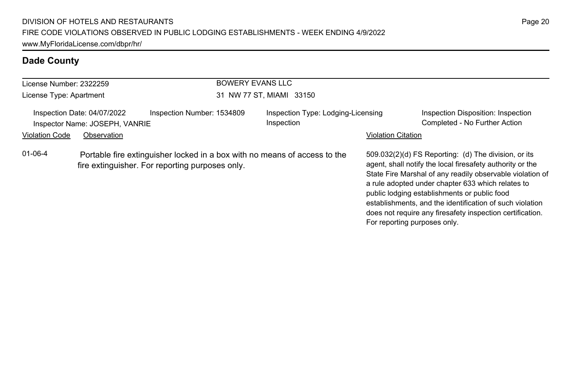| License Number: 2322259 |                                                               | BOWERY EVANS LLC                                                                                                             |                                                  |                              |                                                                                                                                                                                                                                                                                                                                                                                                              |  |  |
|-------------------------|---------------------------------------------------------------|------------------------------------------------------------------------------------------------------------------------------|--------------------------------------------------|------------------------------|--------------------------------------------------------------------------------------------------------------------------------------------------------------------------------------------------------------------------------------------------------------------------------------------------------------------------------------------------------------------------------------------------------------|--|--|
| License Type: Apartment |                                                               |                                                                                                                              | 31 NW 77 ST, MIAMI 33150                         |                              |                                                                                                                                                                                                                                                                                                                                                                                                              |  |  |
|                         | Inspection Date: 04/07/2022<br>Inspector Name: JOSEPH, VANRIE | Inspection Number: 1534809                                                                                                   | Inspection Type: Lodging-Licensing<br>Inspection |                              | Inspection Disposition: Inspection<br>Completed - No Further Action                                                                                                                                                                                                                                                                                                                                          |  |  |
| <b>Violation Code</b>   | Observation                                                   |                                                                                                                              |                                                  | <b>Violation Citation</b>    |                                                                                                                                                                                                                                                                                                                                                                                                              |  |  |
| $01 - 06 - 4$           |                                                               | Portable fire extinguisher locked in a box with no means of access to the<br>fire extinguisher. For reporting purposes only. |                                                  | For reporting purposes only. | 509.032(2)(d) FS Reporting: (d) The division, or its<br>agent, shall notify the local firesafety authority or the<br>State Fire Marshal of any readily observable violation of<br>a rule adopted under chapter 633 which relates to<br>public lodging establishments or public food<br>establishments, and the identification of such violation<br>does not require any firesafety inspection certification. |  |  |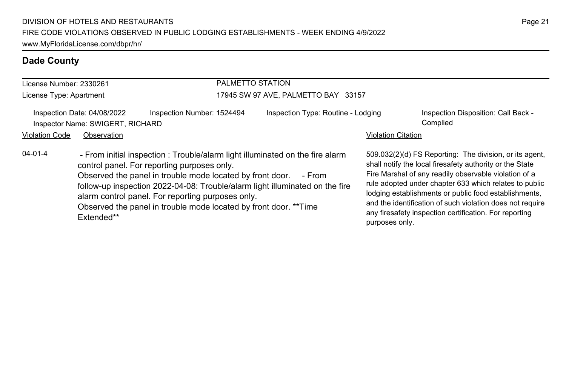| License Number: 2330261 |                                                                 | PALMETTO STATION                                                                                                                                                                                                                                                                                                                                                                                   |                                     |                           |                                                                                                                                                                                                                                                                                                                                                                                                                        |
|-------------------------|-----------------------------------------------------------------|----------------------------------------------------------------------------------------------------------------------------------------------------------------------------------------------------------------------------------------------------------------------------------------------------------------------------------------------------------------------------------------------------|-------------------------------------|---------------------------|------------------------------------------------------------------------------------------------------------------------------------------------------------------------------------------------------------------------------------------------------------------------------------------------------------------------------------------------------------------------------------------------------------------------|
| License Type: Apartment |                                                                 |                                                                                                                                                                                                                                                                                                                                                                                                    | 17945 SW 97 AVE, PALMETTO BAY 33157 |                           |                                                                                                                                                                                                                                                                                                                                                                                                                        |
|                         | Inspection Date: 04/08/2022<br>Inspector Name: SWIGERT, RICHARD | Inspection Number: 1524494                                                                                                                                                                                                                                                                                                                                                                         | Inspection Type: Routine - Lodging  |                           | Inspection Disposition: Call Back -<br>Complied                                                                                                                                                                                                                                                                                                                                                                        |
| <b>Violation Code</b>   | Observation                                                     |                                                                                                                                                                                                                                                                                                                                                                                                    |                                     | <b>Violation Citation</b> |                                                                                                                                                                                                                                                                                                                                                                                                                        |
| $04 - 01 - 4$           | Extended**                                                      | - From initial inspection: Trouble/alarm light illuminated on the fire alarm<br>control panel. For reporting purposes only.<br>Observed the panel in trouble mode located by front door.<br>follow-up inspection 2022-04-08: Trouble/alarm light illuminated on the fire<br>alarm control panel. For reporting purposes only.<br>Observed the panel in trouble mode located by front door. ** Time | - From                              | purposes only.            | 509.032(2)(d) FS Reporting: The division, or its agent,<br>shall notify the local firesafety authority or the State<br>Fire Marshal of any readily observable violation of a<br>rule adopted under chapter 633 which relates to public<br>lodging establishments or public food establishments,<br>and the identification of such violation does not require<br>any firesafety inspection certification. For reporting |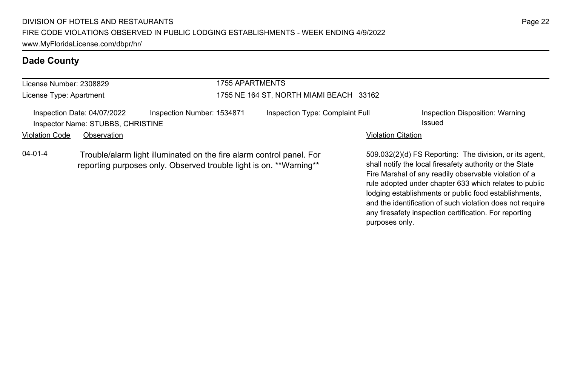| 1755 APARTMENTS<br>License Number: 2308829                         |                                                                  |                                                                                                                                            |                                 |                           |                                                                                                                  |
|--------------------------------------------------------------------|------------------------------------------------------------------|--------------------------------------------------------------------------------------------------------------------------------------------|---------------------------------|---------------------------|------------------------------------------------------------------------------------------------------------------|
| License Type: Apartment<br>1755 NE 164 ST, NORTH MIAMI BEACH 33162 |                                                                  |                                                                                                                                            |                                 |                           |                                                                                                                  |
|                                                                    | Inspection Date: 04/07/2022<br>Inspector Name: STUBBS, CHRISTINE | Inspection Number: 1534871                                                                                                                 | Inspection Type: Complaint Full |                           | Inspection Disposition: Warning<br>Issued                                                                        |
| Violation Code                                                     | Observation                                                      |                                                                                                                                            |                                 | <b>Violation Citation</b> |                                                                                                                  |
| $04 - 01 - 4$                                                      |                                                                  | Trouble/alarm light illuminated on the fire alarm control panel. For<br>reporting purposes only. Observed trouble light is on. **Warning** |                                 |                           | 509.032(2)(d) FS Reporting: The division, or its age<br>shall notify the local firesafety authority or the State |

509.032(2)(d) FS Reporting: The division, or its agent, shall notify the local firesafety authority or the State Fire Marshal of any readily observable violation of a rule adopted under chapter 633 which relates to public lodging establishments or public food establishments, and the identification of such violation does not require any firesafety inspection certification. For reporting purposes only.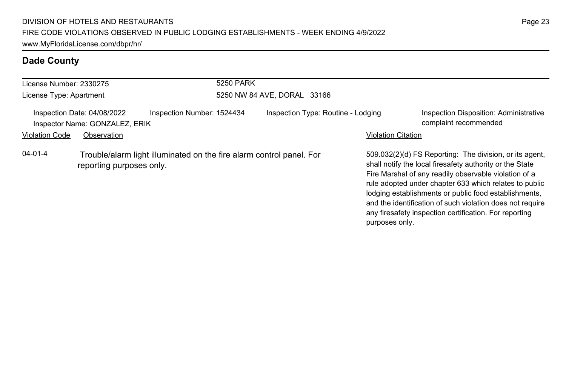| License Number: 2330275 |                                                               |                                                                      | <b>5250 PARK</b>            |                                    |  |                           |                                                                                                                                                                                                                                                                                                                                                                                                                        |
|-------------------------|---------------------------------------------------------------|----------------------------------------------------------------------|-----------------------------|------------------------------------|--|---------------------------|------------------------------------------------------------------------------------------------------------------------------------------------------------------------------------------------------------------------------------------------------------------------------------------------------------------------------------------------------------------------------------------------------------------------|
| License Type: Apartment |                                                               |                                                                      | 5250 NW 84 AVE, DORAL 33166 |                                    |  |                           |                                                                                                                                                                                                                                                                                                                                                                                                                        |
|                         | Inspection Date: 04/08/2022<br>Inspector Name: GONZALEZ, ERIK | Inspection Number: 1524434                                           |                             | Inspection Type: Routine - Lodging |  |                           | Inspection Disposition: Administrative<br>complaint recommended                                                                                                                                                                                                                                                                                                                                                        |
| <b>Violation Code</b>   | Observation                                                   |                                                                      |                             |                                    |  | <b>Violation Citation</b> |                                                                                                                                                                                                                                                                                                                                                                                                                        |
| $04 - 01 - 4$           | reporting purposes only.                                      | Trouble/alarm light illuminated on the fire alarm control panel. For |                             |                                    |  | purposes only.            | 509.032(2)(d) FS Reporting: The division, or its agent,<br>shall notify the local firesafety authority or the State<br>Fire Marshal of any readily observable violation of a<br>rule adopted under chapter 633 which relates to public<br>lodging establishments or public food establishments,<br>and the identification of such violation does not require<br>any firesafety inspection certification. For reporting |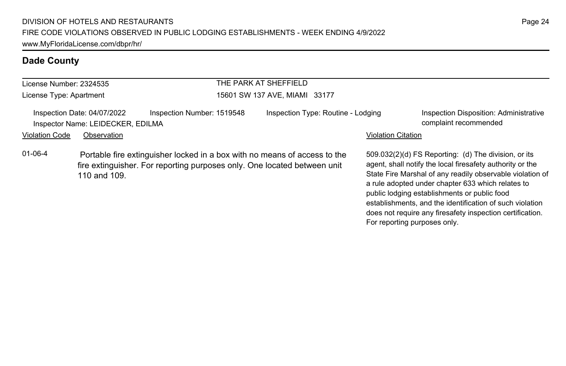| License Number: 2324535 |                                                                  |                                                                                                                                                       | THE PARK AT SHEFFIELD              |                           |                                                                                                                                                                                                                                                                                     |
|-------------------------|------------------------------------------------------------------|-------------------------------------------------------------------------------------------------------------------------------------------------------|------------------------------------|---------------------------|-------------------------------------------------------------------------------------------------------------------------------------------------------------------------------------------------------------------------------------------------------------------------------------|
| License Type: Apartment |                                                                  |                                                                                                                                                       | 15601 SW 137 AVE, MIAMI 33177      |                           |                                                                                                                                                                                                                                                                                     |
|                         | Inspection Date: 04/07/2022<br>Inspector Name: LEIDECKER, EDILMA | Inspection Number: 1519548                                                                                                                            | Inspection Type: Routine - Lodging |                           | Inspection Disposition: Administrative<br>complaint recommended                                                                                                                                                                                                                     |
| <b>Violation Code</b>   | Observation                                                      |                                                                                                                                                       |                                    | <b>Violation Citation</b> |                                                                                                                                                                                                                                                                                     |
| $01 - 06 - 4$           | 110 and 109.                                                     | Portable fire extinguisher locked in a box with no means of access to the<br>fire extinguisher. For reporting purposes only. One located between unit |                                    |                           | 509.032(2)(d) FS Reporting: (d) The division, or its<br>agent, shall notify the local firesafety authority or the<br>State Fire Marshal of any readily observable violation of<br>a rule adopted under chapter 633 which relates to<br>public lodging establishments or public food |

establishments, and the identification of such violation does not require any firesafety inspection certification.

For reporting purposes only.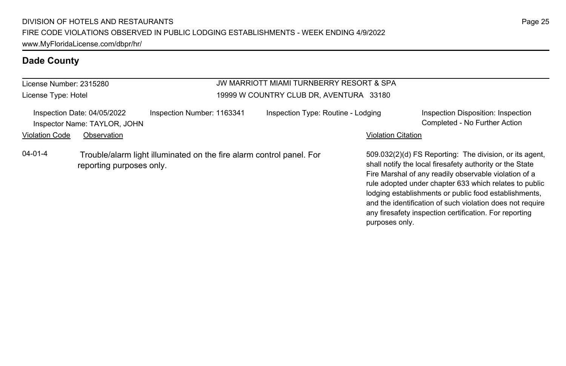License Number: 2315280 License Type: Hotel

#### JW MARRIOTT MIAMI TURNBERRY RESORT & SPA 19999 W COUNTRY CLUB DR, AVENTURA 33180

| Inspection Number: 1163341<br>Inspection Date: 04/05/2022<br>Inspector Name: TAYLOR, JOHN |                          | Inspection Type: Routine - Lodging                                   |  | Inspection Disposition: Inspection<br>Completed - No Further Action |                                                                                                                                                                                                                                                                                                 |
|-------------------------------------------------------------------------------------------|--------------------------|----------------------------------------------------------------------|--|---------------------------------------------------------------------|-------------------------------------------------------------------------------------------------------------------------------------------------------------------------------------------------------------------------------------------------------------------------------------------------|
| Violation Code                                                                            | Observation              |                                                                      |  | <b>Violation Citation</b>                                           |                                                                                                                                                                                                                                                                                                 |
| 04-01-4                                                                                   | reporting purposes only. | Trouble/alarm light illuminated on the fire alarm control panel. For |  |                                                                     | 509.032(2)(d) FS Reporting: The division, or its agent,<br>shall notify the local firesafety authority or the State<br>Fire Marshal of any readily observable violation of a<br>rule adopted under chapter 633 which relates to public<br>lodging establishments or public food establishments, |

and the identification of such violation does not require any firesafety inspection certification. For reporting

purposes only.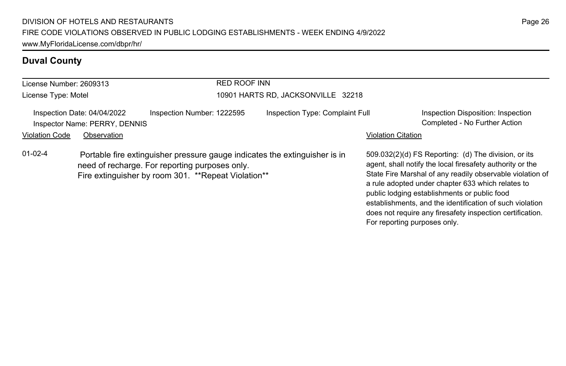# **Duval County**

| License Number: 2609313 |                                                                             |                                                                                                       | <b>RED ROOF INN</b> |                                                                            |                              |                                                                                                                                                                                                                                                                                                                                                                                                              |  |  |
|-------------------------|-----------------------------------------------------------------------------|-------------------------------------------------------------------------------------------------------|---------------------|----------------------------------------------------------------------------|------------------------------|--------------------------------------------------------------------------------------------------------------------------------------------------------------------------------------------------------------------------------------------------------------------------------------------------------------------------------------------------------------------------------------------------------------|--|--|
| License Type: Motel     |                                                                             |                                                                                                       |                     | 10901 HARTS RD, JACKSONVILLE 32218                                         |                              |                                                                                                                                                                                                                                                                                                                                                                                                              |  |  |
| <b>Violation Code</b>   | Inspection Date: 04/04/2022<br>Inspector Name: PERRY, DENNIS<br>Observation | Inspection Number: 1222595                                                                            |                     | Inspection Type: Complaint Full                                            | <b>Violation Citation</b>    | Inspection Disposition: Inspection<br>Completed - No Further Action                                                                                                                                                                                                                                                                                                                                          |  |  |
| $01 - 02 - 4$           |                                                                             | need of recharge. For reporting purposes only.<br>Fire extinguisher by room 301. **Repeat Violation** |                     | Portable fire extinguisher pressure gauge indicates the extinguisher is in | For reporting purposes only. | 509.032(2)(d) FS Reporting: (d) The division, or its<br>agent, shall notify the local firesafety authority or the<br>State Fire Marshal of any readily observable violation of<br>a rule adopted under chapter 633 which relates to<br>public lodging establishments or public food<br>establishments, and the identification of such violation<br>does not require any firesafety inspection certification. |  |  |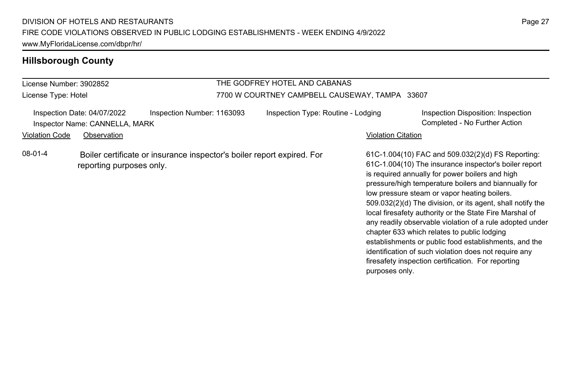| License Number: 3902852                                       |                          |                                                                        | THE GODFREY HOTEL AND CABANAS                  |                    |                                                                                                                                                                                                                                                                                                                                                                                                                                                                                                                                                                                                                                                                                   |  |
|---------------------------------------------------------------|--------------------------|------------------------------------------------------------------------|------------------------------------------------|--------------------|-----------------------------------------------------------------------------------------------------------------------------------------------------------------------------------------------------------------------------------------------------------------------------------------------------------------------------------------------------------------------------------------------------------------------------------------------------------------------------------------------------------------------------------------------------------------------------------------------------------------------------------------------------------------------------------|--|
| License Type: Hotel                                           |                          |                                                                        | 7700 W COURTNEY CAMPBELL CAUSEWAY, TAMPA 33607 |                    |                                                                                                                                                                                                                                                                                                                                                                                                                                                                                                                                                                                                                                                                                   |  |
| Inspection Date: 04/07/2022<br>Inspector Name: CANNELLA, MARK |                          | Inspection Number: 1163093                                             | Inspection Type: Routine - Lodging             |                    | Inspection Disposition: Inspection<br>Completed - No Further Action                                                                                                                                                                                                                                                                                                                                                                                                                                                                                                                                                                                                               |  |
| <b>Violation Code</b>                                         | Observation              |                                                                        |                                                | Violation Citation |                                                                                                                                                                                                                                                                                                                                                                                                                                                                                                                                                                                                                                                                                   |  |
| 08-01-4                                                       | reporting purposes only. | Boiler certificate or insurance inspector's boiler report expired. For |                                                | purposes only.     | 61C-1.004(10) FAC and 509.032(2)(d) FS Reporting:<br>61C-1.004(10) The insurance inspector's boiler report<br>is required annually for power boilers and high<br>pressure/high temperature boilers and biannually for<br>low pressure steam or vapor heating boilers.<br>509.032(2)(d) The division, or its agent, shall notify the<br>local firesafety authority or the State Fire Marshal of<br>any readily observable violation of a rule adopted under<br>chapter 633 which relates to public lodging<br>establishments or public food establishments, and the<br>identification of such violation does not require any<br>firesafety inspection certification. For reporting |  |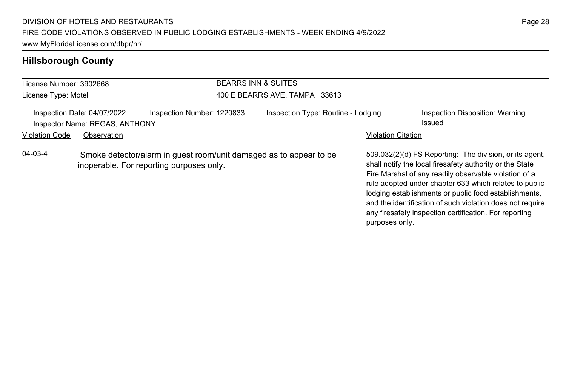| License Number: 3902668 |                                                               | <b>BEARRS INN &amp; SUITES</b>                                                                                 |                                    |                           |                                                                                                                                                                                                                                                                                                                                                                                                                        |
|-------------------------|---------------------------------------------------------------|----------------------------------------------------------------------------------------------------------------|------------------------------------|---------------------------|------------------------------------------------------------------------------------------------------------------------------------------------------------------------------------------------------------------------------------------------------------------------------------------------------------------------------------------------------------------------------------------------------------------------|
| License Type: Motel     |                                                               |                                                                                                                | 400 E BEARRS AVE, TAMPA 33613      |                           |                                                                                                                                                                                                                                                                                                                                                                                                                        |
|                         | Inspection Date: 04/07/2022<br>Inspector Name: REGAS, ANTHONY | Inspection Number: 1220833                                                                                     | Inspection Type: Routine - Lodging |                           | Inspection Disposition: Warning<br>Issued                                                                                                                                                                                                                                                                                                                                                                              |
| <b>Violation Code</b>   | Observation                                                   |                                                                                                                |                                    | <b>Violation Citation</b> |                                                                                                                                                                                                                                                                                                                                                                                                                        |
| $04 - 03 - 4$           |                                                               | Smoke detector/alarm in guest room/unit damaged as to appear to be<br>inoperable. For reporting purposes only. |                                    | purposes only.            | 509.032(2)(d) FS Reporting: The division, or its agent,<br>shall notify the local firesafety authority or the State<br>Fire Marshal of any readily observable violation of a<br>rule adopted under chapter 633 which relates to public<br>lodging establishments or public food establishments,<br>and the identification of such violation does not require<br>any firesafety inspection certification. For reporting |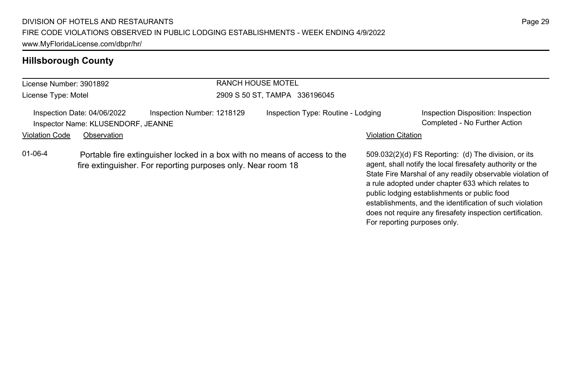| License Number: 3901892 |                                                                   |                            | <b>RANCH HOUSE MOTEL</b>                                                                                                                  |                           |                                                                                                                                                                                                                                                                                                                                                                                                                                              |
|-------------------------|-------------------------------------------------------------------|----------------------------|-------------------------------------------------------------------------------------------------------------------------------------------|---------------------------|----------------------------------------------------------------------------------------------------------------------------------------------------------------------------------------------------------------------------------------------------------------------------------------------------------------------------------------------------------------------------------------------------------------------------------------------|
| License Type: Motel     |                                                                   |                            | 2909 S 50 ST, TAMPA 336196045                                                                                                             |                           |                                                                                                                                                                                                                                                                                                                                                                                                                                              |
|                         | Inspection Date: 04/06/2022<br>Inspector Name: KLUSENDORF, JEANNE | Inspection Number: 1218129 | Inspection Type: Routine - Lodging                                                                                                        |                           | Inspection Disposition: Inspection<br>Completed - No Further Action                                                                                                                                                                                                                                                                                                                                                                          |
| <b>Violation Code</b>   | Observation                                                       |                            |                                                                                                                                           | <b>Violation Citation</b> |                                                                                                                                                                                                                                                                                                                                                                                                                                              |
| $01 - 06 - 4$           |                                                                   |                            | Portable fire extinguisher locked in a box with no means of access to the<br>fire extinguisher. For reporting purposes only. Near room 18 |                           | 509.032(2)(d) FS Reporting: (d) The division, or its<br>agent, shall notify the local firesafety authority or the<br>State Fire Marshal of any readily observable violation of<br>a rule adopted under chapter 633 which relates to<br>public lodging establishments or public food<br>establishments, and the identification of such violation<br>does not require any firesafety inspection certification.<br>For reporting purposes only. |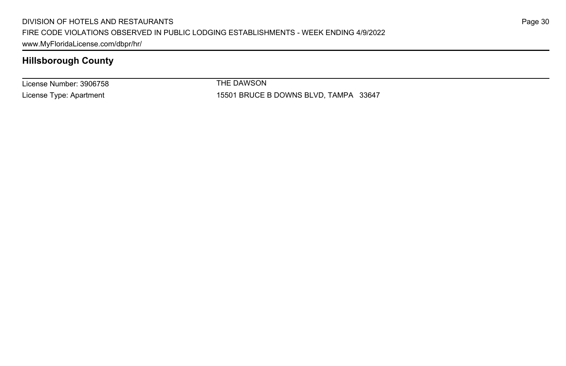License Number: 3906758 License Type: Apartment

THE DAWSON

15501 BRUCE B DOWNS BLVD, TAMPA 33647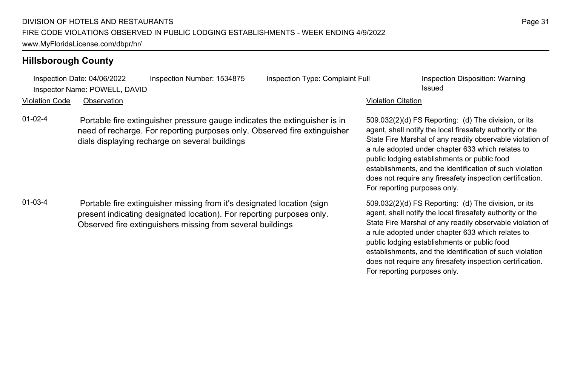Inspection Date: 04/06/2022 Inspection Number: 1534875 Inspection Type: Complaint Full Inspection Disposition: Warning Inspector Name: POWELL, DAVID **Issued** 

Violation Code Observation Violation Citation

01-02-4 Portable fire extinguisher pressure gauge indicates the extinguisher is in need of recharge. For reporting purposes only. Observed fire extinguisher dials displaying recharge on several buildings

01-03-4 Portable fire extinguisher missing from it's designated location (sign present indicating designated location). For reporting purposes only. Observed fire extinguishers missing from several buildings

509.032(2)(d) FS Reporting: (d) The division, or its agent, shall notify the local firesafety authority or the State Fire Marshal of any readily observable violation of a rule adopted under chapter 633 which relates to public lodging establishments or public food establishments, and the identification of such violation does not require any firesafety inspection certification. For reporting purposes only.

509.032(2)(d) FS Reporting: (d) The division, or its agent, shall notify the local firesafety authority or the State Fire Marshal of any readily observable violation of a rule adopted under chapter 633 which relates to public lodging establishments or public food establishments, and the identification of such violation does not require any firesafety inspection certification. For reporting purposes only.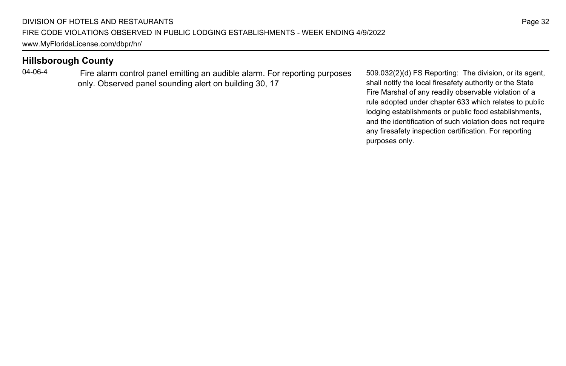04-06-4 Fire alarm control panel emitting an audible alarm. For reporting purposes only. Observed panel sounding alert on building 30, 17

509.032(2)(d) FS Reporting: The division, or its agent, shall notify the local firesafety authority or the State Fire Marshal of any readily observable violation of a rule adopted under chapter 633 which relates to public lodging establishments or public food establishments, and the identification of such violation does not require any firesafety inspection certification. For reporting purposes only.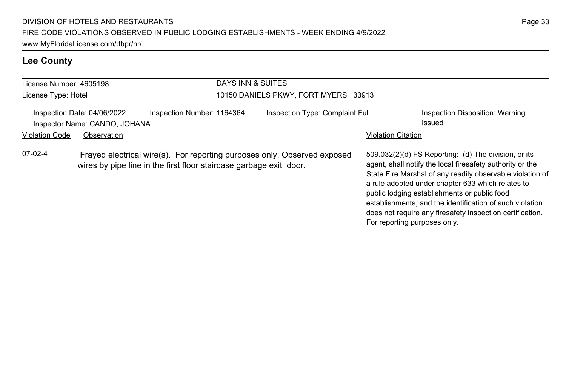# **Lee County**

| License Number: 4605198 |                                                              |                                                                                                                                                | DAYS INN & SUITES                    |                                 |                                                                                                                                                                                                                                                                                                                                                                                                                                              |  |  |
|-------------------------|--------------------------------------------------------------|------------------------------------------------------------------------------------------------------------------------------------------------|--------------------------------------|---------------------------------|----------------------------------------------------------------------------------------------------------------------------------------------------------------------------------------------------------------------------------------------------------------------------------------------------------------------------------------------------------------------------------------------------------------------------------------------|--|--|
| License Type: Hotel     |                                                              |                                                                                                                                                | 10150 DANIELS PKWY, FORT MYERS 33913 |                                 |                                                                                                                                                                                                                                                                                                                                                                                                                                              |  |  |
|                         | Inspection Date: 04/06/2022<br>Inspector Name: CANDO, JOHANA | Inspection Number: 1164364                                                                                                                     |                                      | Inspection Type: Complaint Full | Inspection Disposition: Warning<br>Issued                                                                                                                                                                                                                                                                                                                                                                                                    |  |  |
| <b>Violation Code</b>   | Observation                                                  |                                                                                                                                                |                                      |                                 | <b>Violation Citation</b>                                                                                                                                                                                                                                                                                                                                                                                                                    |  |  |
| $07-02-4$               |                                                              | Frayed electrical wire(s). For reporting purposes only. Observed exposed<br>wires by pipe line in the first floor staircase garbage exit door. |                                      |                                 | 509.032(2)(d) FS Reporting: (d) The division, or its<br>agent, shall notify the local firesafety authority or the<br>State Fire Marshal of any readily observable violation of<br>a rule adopted under chapter 633 which relates to<br>public lodging establishments or public food<br>establishments, and the identification of such violation<br>does not require any firesafety inspection certification.<br>For reporting purposes only. |  |  |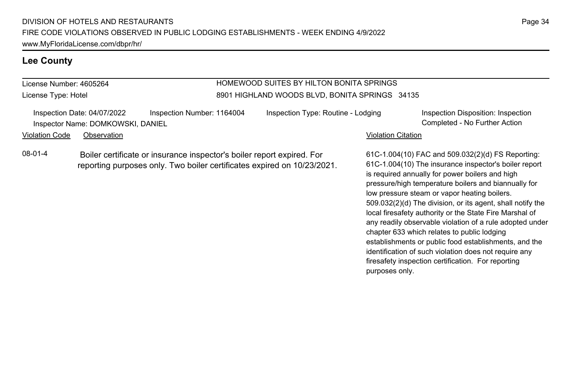#### **Lee County**

# License Number: 4605264

License Type: Hotel

#### HOMEWOOD SUITES BY HILTON BONITA SPRINGS 8901 HIGHLAND WOODS BLVD, BONITA SPRINGS 34135

Inspection Date: 04/07/2022 Inspection Number: 1164004 Inspection Type: Routine - Lodging Inspection Disposition: Inspection Inspector Name: DOMKOWSKI, DANIEL Completed - No Further Action

Violation Code Observation **Violation Code** Observation **Violation** Violation Citation Citation Citation Citation

08-01-4 Boiler certificate or insurance inspector's boiler report expired. For reporting purposes only. Two boiler certificates expired on 10/23/2021. 61C-1.004(10) FAC and 509.032(2)(d) FS Reporting: 61C-1.004(10) The insurance inspector's boiler report is required annually for power boilers and high pressure/high temperature boilers and biannually for low pressure steam or vapor heating boilers. 509.032(2)(d) The division, or its agent, shall notify the local firesafety authority or the State Fire Marshal of any readily observable violation of a rule adopted under chapter 633 which relates to public lodging establishments or public food establishments, and the identification of such violation does not require any firesafety inspection certification. For reporting purposes only.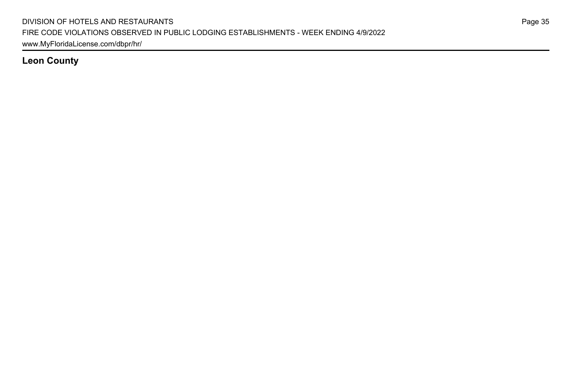**Leon County**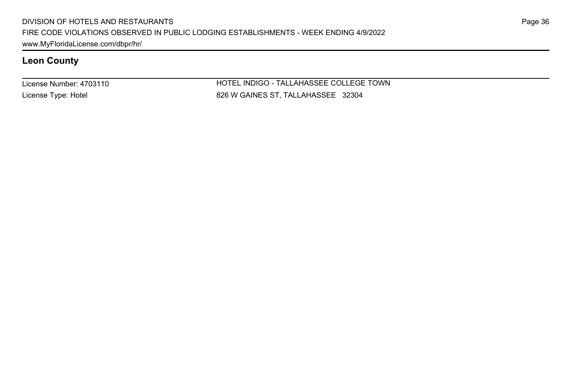# **Leon County**

License Number: 4703110 License Type: Hotel

HOTEL INDIGO - TALLAHASSEE COLLEGE TOWN 826 W GAINES ST, TALLAHASSEE 32304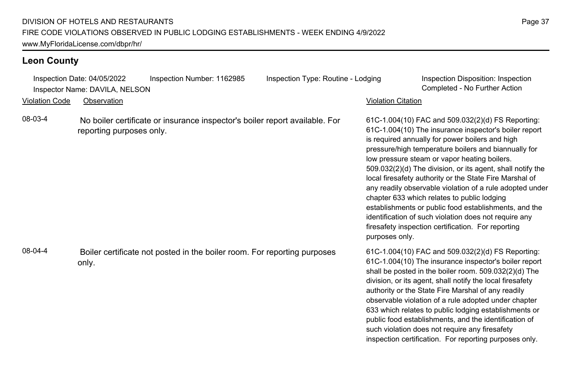## **Leon County**

Inspection Date: 04/05/2022 Inspection Number: 1162985 Inspection Type: Routine - Lodging Inspection Disposition: Inspection Inspector Name: DAVILA, NELSON Completed - No Further Action

Violation Code Observation Violation Citation

08-03-4 No boiler certificate or insurance inspector's boiler report available. For reporting purposes only.

08-04-4 Boiler certificate not posted in the boiler room. For reporting purposes only.

61C-1.004(10) FAC and 509.032(2)(d) FS Reporting: 61C-1.004(10) The insurance inspector's boiler report is required annually for power boilers and high pressure/high temperature boilers and biannually for low pressure steam or vapor heating boilers. 509.032(2)(d) The division, or its agent, shall notify the local firesafety authority or the State Fire Marshal of any readily observable violation of a rule adopted under chapter 633 which relates to public lodging establishments or public food establishments, and the identification of such violation does not require any firesafety inspection certification. For reporting purposes only.

61C-1.004(10) FAC and 509.032(2)(d) FS Reporting: 61C-1.004(10) The insurance inspector's boiler report shall be posted in the boiler room. 509.032(2)(d) The division, or its agent, shall notify the local firesafety authority or the State Fire Marshal of any readily observable violation of a rule adopted under chapter 633 which relates to public lodging establishments or public food establishments, and the identification of such violation does not require any firesafety inspection certification. For reporting purposes only.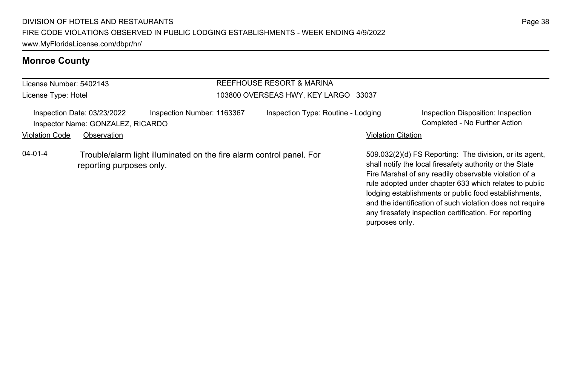# **Monroe County**

| License Number: 5402143 |                                                                  |                                                                      | REEFHOUSE RESORT & MARINA            |                           |                                                                                                                                                                                                                                                                                                 |  |
|-------------------------|------------------------------------------------------------------|----------------------------------------------------------------------|--------------------------------------|---------------------------|-------------------------------------------------------------------------------------------------------------------------------------------------------------------------------------------------------------------------------------------------------------------------------------------------|--|
| License Type: Hotel     |                                                                  |                                                                      | 103800 OVERSEAS HWY, KEY LARGO 33037 |                           |                                                                                                                                                                                                                                                                                                 |  |
|                         | Inspection Date: 03/23/2022<br>Inspector Name: GONZALEZ, RICARDO | Inspection Number: 1163367                                           | Inspection Type: Routine - Lodging   |                           | Inspection Disposition: Inspection<br>Completed - No Further Action                                                                                                                                                                                                                             |  |
| <b>Violation Code</b>   | Observation                                                      |                                                                      |                                      | <b>Violation Citation</b> |                                                                                                                                                                                                                                                                                                 |  |
| $04 - 01 - 4$           | reporting purposes only.                                         | Trouble/alarm light illuminated on the fire alarm control panel. For |                                      |                           | 509.032(2)(d) FS Reporting: The division, or its agent,<br>shall notify the local firesafety authority or the State<br>Fire Marshal of any readily observable violation of a<br>rule adopted under chapter 633 which relates to public<br>lodging establishments or public food establishments, |  |

and the identification of such violation does not require any firesafety inspection certification. For reporting

purposes only.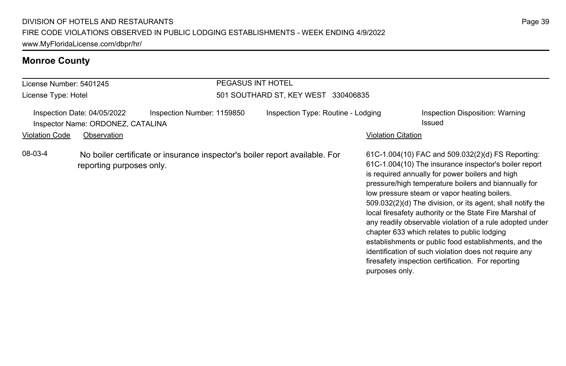# **Monroe County**

| License Number: 5401245                                          |                          |                                                                             | PEGASUS INT HOTEL                   |                    |                                                                                                                                                                                                                                                                                                                                                                                                                                                                                                                                                                                                                                                                                   |  |  |
|------------------------------------------------------------------|--------------------------|-----------------------------------------------------------------------------|-------------------------------------|--------------------|-----------------------------------------------------------------------------------------------------------------------------------------------------------------------------------------------------------------------------------------------------------------------------------------------------------------------------------------------------------------------------------------------------------------------------------------------------------------------------------------------------------------------------------------------------------------------------------------------------------------------------------------------------------------------------------|--|--|
| License Type: Hotel                                              |                          |                                                                             | 501 SOUTHARD ST, KEY WEST 330406835 |                    |                                                                                                                                                                                                                                                                                                                                                                                                                                                                                                                                                                                                                                                                                   |  |  |
| Inspection Date: 04/05/2022<br>Inspector Name: ORDONEZ, CATALINA |                          | Inspection Number: 1159850                                                  | Inspection Type: Routine - Lodging  |                    | Inspection Disposition: Warning<br>Issued                                                                                                                                                                                                                                                                                                                                                                                                                                                                                                                                                                                                                                         |  |  |
| <b>Violation Code</b>                                            | Observation              |                                                                             |                                     | Violation Citation |                                                                                                                                                                                                                                                                                                                                                                                                                                                                                                                                                                                                                                                                                   |  |  |
| 08-03-4                                                          | reporting purposes only. | No boiler certificate or insurance inspector's boiler report available. For |                                     | purposes only.     | 61C-1.004(10) FAC and 509.032(2)(d) FS Reporting:<br>61C-1.004(10) The insurance inspector's boiler report<br>is required annually for power boilers and high<br>pressure/high temperature boilers and biannually for<br>low pressure steam or vapor heating boilers.<br>509.032(2)(d) The division, or its agent, shall notify the<br>local firesafety authority or the State Fire Marshal of<br>any readily observable violation of a rule adopted under<br>chapter 633 which relates to public lodging<br>establishments or public food establishments, and the<br>identification of such violation does not require any<br>firesafety inspection certification. For reporting |  |  |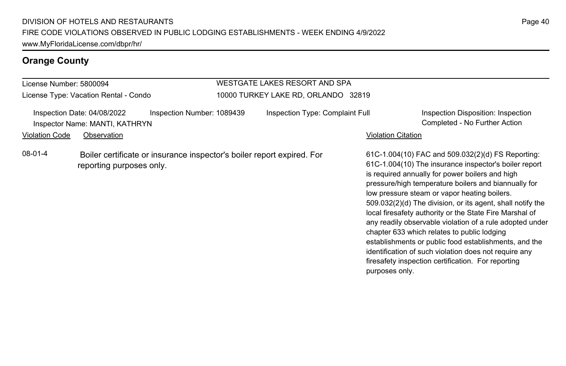License Number: 5800094

License Type: Vacation Rental - Condo

#### WESTGATE LAKES RESORT AND SPA 10000 TURKEY LAKE RD, ORLANDO 32819

|                       | Inspection Date: 04/08/2022    | Inspection Number: 1089439                                             | Inspection Type: Complaint Full |                           | Inspection Disposition: Inspection                                                                                                                                                                                    |
|-----------------------|--------------------------------|------------------------------------------------------------------------|---------------------------------|---------------------------|-----------------------------------------------------------------------------------------------------------------------------------------------------------------------------------------------------------------------|
|                       | Inspector Name: MANTI, KATHRYN |                                                                        |                                 |                           | Completed - No Further Action                                                                                                                                                                                         |
| <b>Violation Code</b> | Observation                    |                                                                        |                                 | <b>Violation Citation</b> |                                                                                                                                                                                                                       |
| $08-01-4$             | reporting purposes only.       | Boiler certificate or insurance inspector's boiler report expired. For |                                 |                           | 61C-1.004(10) FAC and 509.032(2)(d) FS Reporting:<br>61C-1.004(10) The insurance inspector's boiler report<br>is required annually for power boilers and high<br>pressure/high temperature boilers and biannually for |

Page 40

low pressure steam or vapor heating boilers.

chapter 633 which relates to public lodging

purposes only.

509.032(2)(d) The division, or its agent, shall notify the local firesafety authority or the State Fire Marshal of any readily observable violation of a rule adopted under

establishments or public food establishments, and the identification of such violation does not require any firesafety inspection certification. For reporting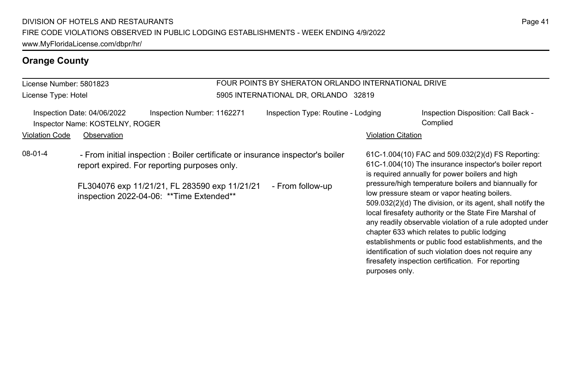#### License Number: 5801823 License Type: Hotel FOUR POINTS BY SHERATON ORLANDO INTERNATIONAL DRIVE 5905 INTERNATIONAL DR, ORLANDO 32819 Inspection Date: 04/06/2022 Inspection Number: 1162271 Inspection Type: Routine - Lodging Inspection Disposition: Call Back -Inspector Name: KOSTELNY, ROGER Complied Violation Code Observation Violation Citation 61C-1.004(10) FAC and 509.032(2)(d) FS Reporting: 61C-1.004(10) The insurance inspector's boiler report is required annually for power boilers and high pressure/high temperature boilers and biannually for low pressure steam or vapor heating boilers. 509.032(2)(d) The division, or its agent, shall notify the local firesafety authority or the State Fire Marshal of any readily observable violation of a rule adopted under chapter 633 which relates to public lodging establishments or public food establishments, and the identification of such violation does not require any firesafety inspection certification. For reporting purposes only. 08-01-4 - From initial inspection : Boiler certificate or insurance inspector's boiler report expired. For reporting purposes only. FL304076 exp 11/21/21, FL 283590 exp 11/21/21 - From follow-up inspection 2022-04-06: \*\*Time Extended\*\*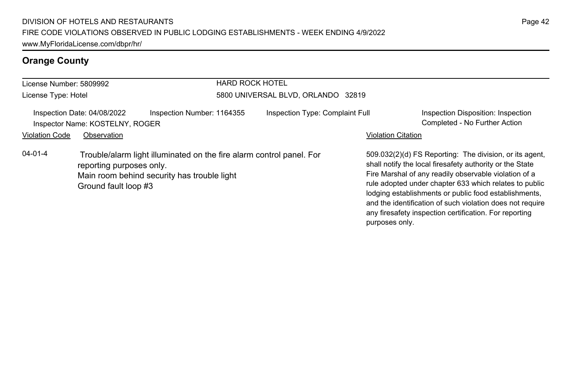| License Number: 5809992 |                                                                |                                                                                                                     | <b>HARD ROCK HOTEL</b>             |                                 |                           |                                                                                                                                                                                                                                                                                                                                                                                                                        |  |
|-------------------------|----------------------------------------------------------------|---------------------------------------------------------------------------------------------------------------------|------------------------------------|---------------------------------|---------------------------|------------------------------------------------------------------------------------------------------------------------------------------------------------------------------------------------------------------------------------------------------------------------------------------------------------------------------------------------------------------------------------------------------------------------|--|
| License Type: Hotel     |                                                                |                                                                                                                     | 5800 UNIVERSAL BLVD, ORLANDO 32819 |                                 |                           |                                                                                                                                                                                                                                                                                                                                                                                                                        |  |
|                         | Inspection Date: 04/08/2022<br>Inspector Name: KOSTELNY, ROGER | Inspection Number: 1164355                                                                                          |                                    | Inspection Type: Complaint Full |                           | Inspection Disposition: Inspection<br>Completed - No Further Action                                                                                                                                                                                                                                                                                                                                                    |  |
| <b>Violation Code</b>   | Observation                                                    |                                                                                                                     |                                    |                                 | <b>Violation Citation</b> |                                                                                                                                                                                                                                                                                                                                                                                                                        |  |
| $04 - 01 - 4$           | reporting purposes only.<br>Ground fault loop #3               | Trouble/alarm light illuminated on the fire alarm control panel. For<br>Main room behind security has trouble light |                                    |                                 |                           | 509.032(2)(d) FS Reporting: The division, or its agent.<br>shall notify the local firesafety authority or the State<br>Fire Marshal of any readily observable violation of a<br>rule adopted under chapter 633 which relates to public<br>lodging establishments or public food establishments,<br>and the identification of such violation does not require<br>any firesafety inspection certification. For reporting |  |

purposes only.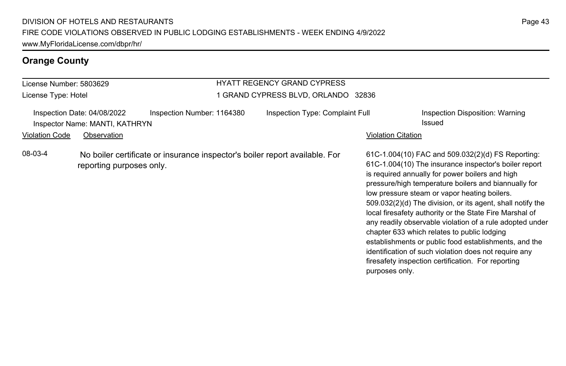| License Number: 5803629 |                                                                              |                                                                             | <b>HYATT REGENCY GRAND CYPRESS</b>  |                           |                                                                                                                                                                                                                                                                                                                                                                                                                                                                                                                                                                                                                                                                                   |
|-------------------------|------------------------------------------------------------------------------|-----------------------------------------------------------------------------|-------------------------------------|---------------------------|-----------------------------------------------------------------------------------------------------------------------------------------------------------------------------------------------------------------------------------------------------------------------------------------------------------------------------------------------------------------------------------------------------------------------------------------------------------------------------------------------------------------------------------------------------------------------------------------------------------------------------------------------------------------------------------|
| License Type: Hotel     |                                                                              |                                                                             | 1 GRAND CYPRESS BLVD, ORLANDO 32836 |                           |                                                                                                                                                                                                                                                                                                                                                                                                                                                                                                                                                                                                                                                                                   |
| <b>Violation Code</b>   | Inspection Date: 04/08/2022<br>Inspector Name: MANTI, KATHRYN<br>Observation | Inspection Number: 1164380                                                  | Inspection Type: Complaint Full     | <b>Violation Citation</b> | Inspection Disposition: Warning<br>Issued                                                                                                                                                                                                                                                                                                                                                                                                                                                                                                                                                                                                                                         |
| 08-03-4                 | reporting purposes only.                                                     | No boiler certificate or insurance inspector's boiler report available. For |                                     | purposes only.            | 61C-1.004(10) FAC and 509.032(2)(d) FS Reporting:<br>61C-1.004(10) The insurance inspector's boiler report<br>is required annually for power boilers and high<br>pressure/high temperature boilers and biannually for<br>low pressure steam or vapor heating boilers.<br>509.032(2)(d) The division, or its agent, shall notify the<br>local firesafety authority or the State Fire Marshal of<br>any readily observable violation of a rule adopted under<br>chapter 633 which relates to public lodging<br>establishments or public food establishments, and the<br>identification of such violation does not require any<br>firesafety inspection certification. For reporting |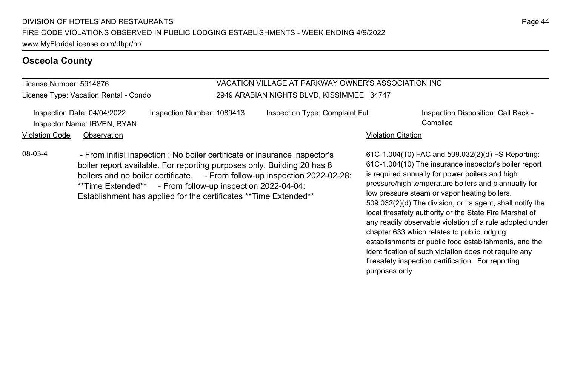#### **Osceola County**

License Number: 5914876

License Type: Vacation Rental - Condo

#### VACATION VILLAGE AT PARKWAY OWNER'S ASSOCIATION INC 2949 ARABIAN NIGHTS BLVD, KISSIMMEE 34747

|                       | Inspection Date: 04/04/2022<br>Inspector Name: IRVEN, RYAN | Inspection Number: 1089413                                                                                                                            | Inspection Type: Complaint Full | Inspection Disposition: Call Back -<br>Complied                                                            |
|-----------------------|------------------------------------------------------------|-------------------------------------------------------------------------------------------------------------------------------------------------------|---------------------------------|------------------------------------------------------------------------------------------------------------|
| <b>Violation Code</b> | Observation                                                |                                                                                                                                                       |                                 | <b>Violation Citation</b>                                                                                  |
| 08-03-4               |                                                            | - From initial inspection : No boiler certificate or insurance inspector's<br>boiler report available. For reporting purposes only. Building 20 has 8 |                                 | 61C-1.004(10) FAC and 509.032(2)(d) FS Reporting:<br>61C-1.004(10) The insurance inspector's boiler report |

boilers and no boiler certificate. - From follow-up inspection 2022-02-28: \*\*Time Extended\*\* - From follow-up inspection 2022-04-04: Establishment has applied for the certificates \*\*Time Extended\*\*

61C-1.004(10) The insurance inspector's boiler report is required annually for power boilers and high pressure/high temperature boilers and biannually for low pressure steam or vapor heating boilers. 509.032(2)(d) The division, or its agent, shall notify the local firesafety authority or the State Fire Marshal of any readily observable violation of a rule adopted under chapter 633 which relates to public lodging establishments or public food establishments, and the identification of such violation does not require any firesafety inspection certification. For reporting purposes only.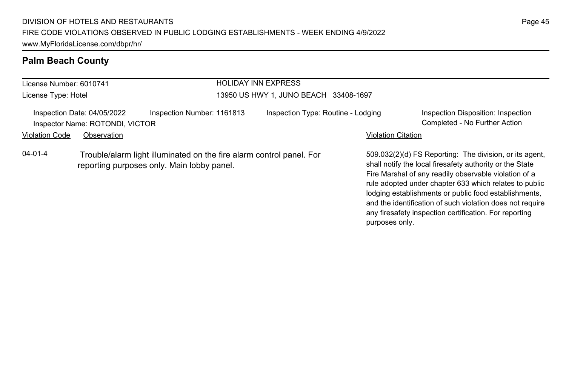# **Palm Beach County**

| License Number: 6010741 |                                                                | <b>HOLIDAY INN EXPRESS</b><br>13950 US HWY 1, JUNO BEACH 33408-1697                                                |  |                                    |                           |                                                                                                                                                                                                                                                                                                 |
|-------------------------|----------------------------------------------------------------|--------------------------------------------------------------------------------------------------------------------|--|------------------------------------|---------------------------|-------------------------------------------------------------------------------------------------------------------------------------------------------------------------------------------------------------------------------------------------------------------------------------------------|
| License Type: Hotel     |                                                                |                                                                                                                    |  |                                    |                           |                                                                                                                                                                                                                                                                                                 |
|                         | Inspection Date: 04/05/2022<br>Inspector Name: ROTONDI, VICTOR | Inspection Number: 1161813                                                                                         |  | Inspection Type: Routine - Lodging |                           | Inspection Disposition: Inspection<br>Completed - No Further Action                                                                                                                                                                                                                             |
| <b>Violation Code</b>   | Observation                                                    |                                                                                                                    |  |                                    | <b>Violation Citation</b> |                                                                                                                                                                                                                                                                                                 |
| $04 - 01 - 4$           |                                                                | Trouble/alarm light illuminated on the fire alarm control panel. For<br>reporting purposes only. Main lobby panel. |  |                                    |                           | 509.032(2)(d) FS Reporting: The division, or its agent.<br>shall notify the local firesafety authority or the State<br>Fire Marshal of any readily observable violation of a<br>rule adopted under chapter 633 which relates to public<br>lodging establishments or public food establishments, |

and the identification of such violation does not require any firesafety inspection certification. For reporting

purposes only.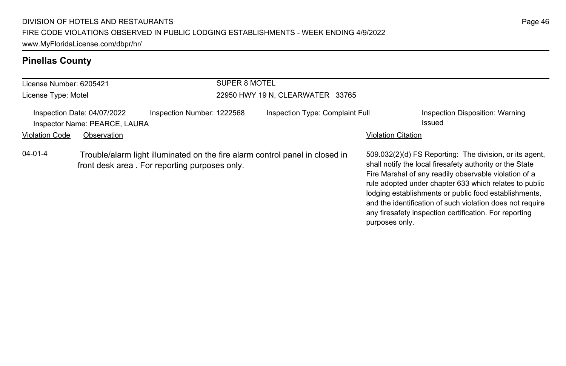# **Pinellas County**

| License Number: 6205421 |                                                              | SUPER 8 MOTEL                                                                                                                 |                                  |                                                                                                                                                                                                                                                                                                                                                                                                                                          |  |  |  |
|-------------------------|--------------------------------------------------------------|-------------------------------------------------------------------------------------------------------------------------------|----------------------------------|------------------------------------------------------------------------------------------------------------------------------------------------------------------------------------------------------------------------------------------------------------------------------------------------------------------------------------------------------------------------------------------------------------------------------------------|--|--|--|
| License Type: Motel     |                                                              |                                                                                                                               | 22950 HWY 19 N, CLEARWATER 33765 |                                                                                                                                                                                                                                                                                                                                                                                                                                          |  |  |  |
|                         | Inspection Date: 04/07/2022<br>Inspector Name: PEARCE, LAURA | Inspection Number: 1222568                                                                                                    | Inspection Type: Complaint Full  | Inspection Disposition: Warning<br>Issued                                                                                                                                                                                                                                                                                                                                                                                                |  |  |  |
| <b>Violation Code</b>   | Observation                                                  |                                                                                                                               |                                  | Violation Citation                                                                                                                                                                                                                                                                                                                                                                                                                       |  |  |  |
| $04 - 01 - 4$           |                                                              | Trouble/alarm light illuminated on the fire alarm control panel in closed in<br>front desk area. For reporting purposes only. |                                  | 509.032(2)(d) FS Reporting: The division, or its agent,<br>shall notify the local firesafety authority or the State<br>Fire Marshal of any readily observable violation of a<br>rule adopted under chapter 633 which relates to public<br>lodging establishments or public food establishments,<br>and the identification of such violation does not require<br>any firesafety inspection certification. For reporting<br>purposes only. |  |  |  |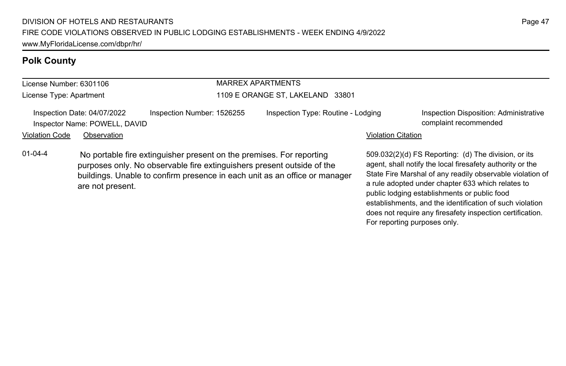# **Polk County**

| License Number: 6301106                                      |             |                                                                                                                                                | <b>MARREX APARTMENTS</b>           |                           |                                                                                                                   |  |  |
|--------------------------------------------------------------|-------------|------------------------------------------------------------------------------------------------------------------------------------------------|------------------------------------|---------------------------|-------------------------------------------------------------------------------------------------------------------|--|--|
| License Type: Apartment                                      |             |                                                                                                                                                | 1109 E ORANGE ST, LAKELAND 33801   |                           |                                                                                                                   |  |  |
| Inspection Date: 04/07/2022<br>Inspector Name: POWELL, DAVID |             | Inspection Number: 1526255                                                                                                                     | Inspection Type: Routine - Lodging |                           | Inspection Disposition: Administrative<br>complaint recommended                                                   |  |  |
| Violation Code                                               | Observation |                                                                                                                                                |                                    | <b>Violation Citation</b> |                                                                                                                   |  |  |
| 01-04-4                                                      |             | No portable fire extinguisher present on the premises. For reporting<br>purposes only. No observable fire extinguishers present outside of the |                                    |                           | 509.032(2)(d) FS Reporting: (d) The division, or its<br>agent, shall notify the local firesafety authority or the |  |  |

purposes only. No observable fire extinguishers present outside of the buildings. Unable to confirm presence in each unit as an office or manager are not present.

State Fire Marshal of any readily observable violation of a rule adopted under chapter 633 which relates to public lodging establishments or public food

For reporting purposes only.

establishments, and the identification of such violation does not require any firesafety inspection certification.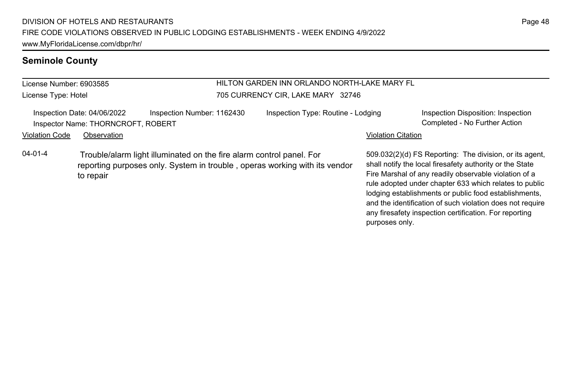#### **Seminole County**

License Number: 6903585 License Type: Hotel

#### HILTON GARDEN INN ORLANDO NORTH-LAKE MARY FL 705 CURRENCY CIR, LAKE MARY 32746

|                | Inspection Date: 04/06/2022        | Inspection Number: 1162430                                           | Inspection Type: Routine - Lodging | Inspection Disposition: Inspection                    |
|----------------|------------------------------------|----------------------------------------------------------------------|------------------------------------|-------------------------------------------------------|
|                | Inspector Name: THORNCROFT, ROBERT |                                                                      |                                    | Completed - No Further Action                         |
| Violation Code | Observation                        |                                                                      | <b>Violation Citation</b>          |                                                       |
| 04-01-4        |                                    | Trouble/elerm light illuminated on the fire elerm control nanol. For |                                    | E00.032(2)(d) ES Poporting. The division or its agent |

04-01-4 Trouble/alarm light illuminated on the fire alarm control panel. For reporting purposes only. System in trouble , operas working with its vendor to repair

509.032(2)(d) FS Reporting: The division, or its agent, shall notify the local firesafety authority or the State Fire Marshal of any readily observable violation of a rule adopted under chapter 633 which relates to public lodging establishments or public food establishments, and the identification of such violation does not require any firesafety inspection certification. For reporting purposes only.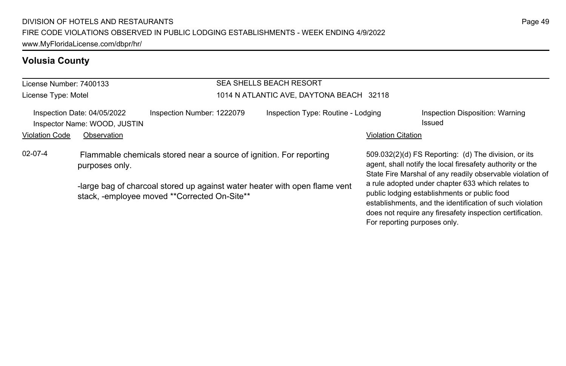# **Volusia County**

| License Number: 7400133 |                                                                                       |                                                                                                                            | <b>SEA SHELLS BEACH RESORT</b>           |                                                                                                                                                                                                                                                            |                                                                                                                                                                                |  |  |
|-------------------------|---------------------------------------------------------------------------------------|----------------------------------------------------------------------------------------------------------------------------|------------------------------------------|------------------------------------------------------------------------------------------------------------------------------------------------------------------------------------------------------------------------------------------------------------|--------------------------------------------------------------------------------------------------------------------------------------------------------------------------------|--|--|
| License Type: Motel     |                                                                                       |                                                                                                                            | 1014 N ATLANTIC AVE, DAYTONA BEACH 32118 |                                                                                                                                                                                                                                                            |                                                                                                                                                                                |  |  |
|                         | Inspection Date: 04/05/2022<br>Inspector Name: WOOD, JUSTIN                           | Inspection Number: 1222079                                                                                                 | Inspection Type: Routine - Lodging       |                                                                                                                                                                                                                                                            | Inspection Disposition: Warning<br>Issued                                                                                                                                      |  |  |
| <b>Violation Code</b>   | Observation                                                                           |                                                                                                                            |                                          | <b>Violation Citation</b>                                                                                                                                                                                                                                  |                                                                                                                                                                                |  |  |
| $02 - 07 - 4$           | Flammable chemicals stored near a source of ignition. For reporting<br>purposes only. |                                                                                                                            |                                          |                                                                                                                                                                                                                                                            | 509.032(2)(d) FS Reporting: (d) The division, or its<br>agent, shall notify the local firesafety authority or the<br>State Fire Marshal of any readily observable violation of |  |  |
|                         |                                                                                       | -large bag of charcoal stored up against water heater with open flame vent<br>stack, -employee moved **Corrected On-Site** |                                          | a rule adopted under chapter 633 which relates to<br>public lodging establishments or public food<br>establishments, and the identification of such violation<br>does not require any firesafety inspection certification.<br>For reporting purposes only. |                                                                                                                                                                                |  |  |